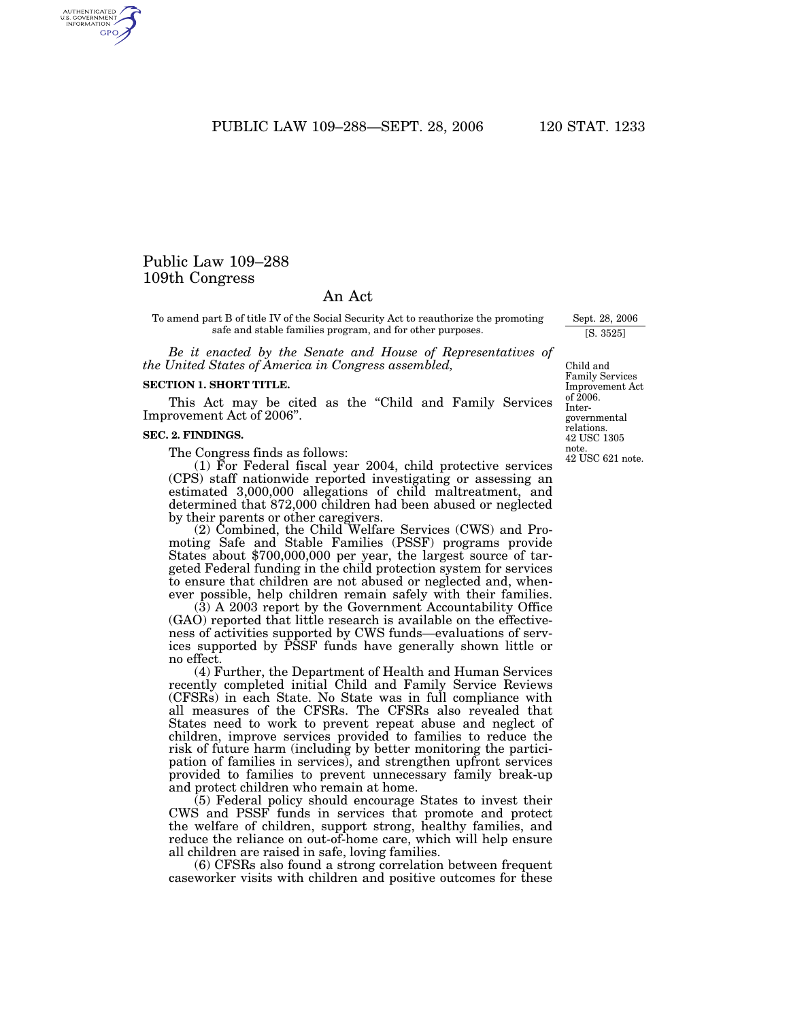PUBLIC LAW 109-288-SEPT. 28, 2006 120 STAT. 1233

# Public Law 109–288 109th Congress

AUTHENTICATED<br>U.S. GOVERNMENT<br>INFORMATION GPO

# An Act

To amend part B of title IV of the Social Security Act to reauthorize the promoting safe and stable families program, and for other purposes.

*Be it enacted by the Senate and House of Representatives of the United States of America in Congress assembled,*

#### **SECTION 1. SHORT TITLE.**

This Act may be cited as the "Child and Family Services" Improvement Act of 2006''.

#### **SEC. 2. FINDINGS.**

The Congress finds as follows:

(1) For Federal fiscal year 2004, child protective services (CPS) staff nationwide reported investigating or assessing an estimated 3,000,000 allegations of child maltreatment, and determined that 872,000 children had been abused or neglected by their parents or other caregivers.

(2) Combined, the Child Welfare Services (CWS) and Promoting Safe and Stable Families (PSSF) programs provide States about \$700,000,000 per year, the largest source of targeted Federal funding in the child protection system for services to ensure that children are not abused or neglected and, whenever possible, help children remain safely with their families.

(3) A 2003 report by the Government Accountability Office (GAO) reported that little research is available on the effectiveness of activities supported by CWS funds—evaluations of services supported by PSSF funds have generally shown little or no effect.

(4) Further, the Department of Health and Human Services recently completed initial Child and Family Service Reviews (CFSRs) in each State. No State was in full compliance with all measures of the CFSRs. The CFSRs also revealed that States need to work to prevent repeat abuse and neglect of children, improve services provided to families to reduce the risk of future harm (including by better monitoring the participation of families in services), and strengthen upfront services provided to families to prevent unnecessary family break-up and protect children who remain at home.

(5) Federal policy should encourage States to invest their CWS and PSSF funds in services that promote and protect the welfare of children, support strong, healthy families, and reduce the reliance on out-of-home care, which will help ensure all children are raised in safe, loving families.

(6) CFSRs also found a strong correlation between frequent caseworker visits with children and positive outcomes for these

Child and Family Services Improvement Act of 2006. Intergovernmental relations. 42 USC 1305 note. 42 USC 621 note.

Sept. 28, 2006 [S. 3525]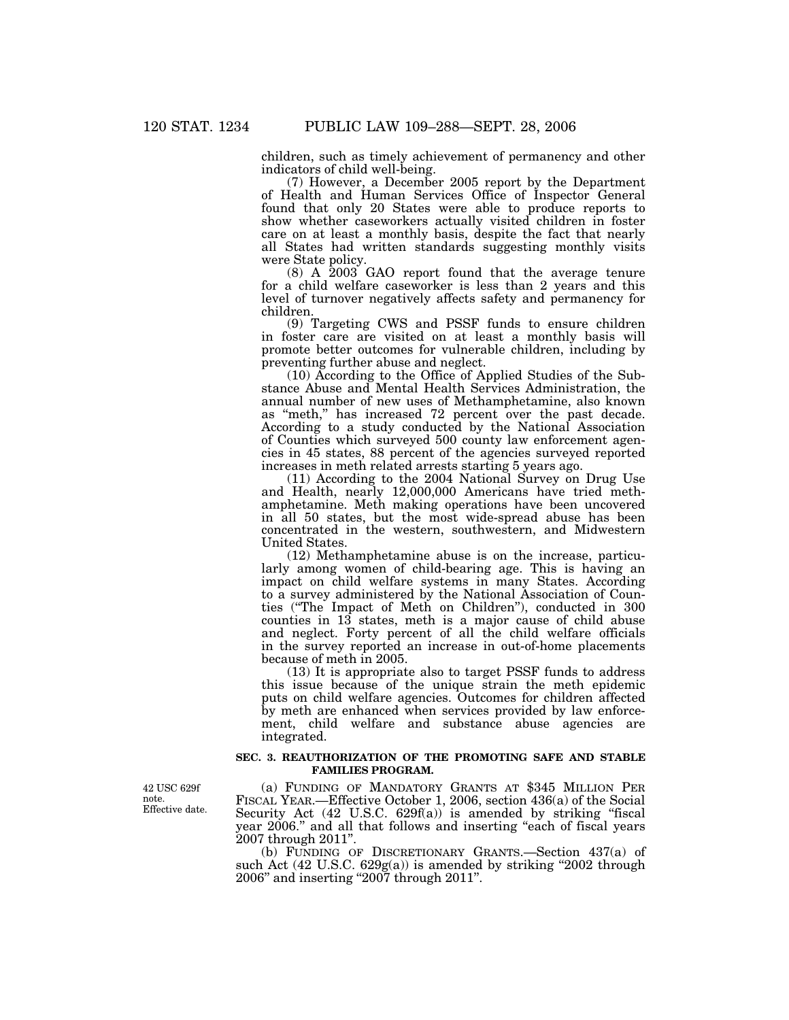children, such as timely achievement of permanency and other indicators of child well-being.

(7) However, a December 2005 report by the Department of Health and Human Services Office of Inspector General found that only 20 States were able to produce reports to show whether caseworkers actually visited children in foster care on at least a monthly basis, despite the fact that nearly all States had written standards suggesting monthly visits were State policy.

(8) A 2003 GAO report found that the average tenure for a child welfare caseworker is less than 2 years and this level of turnover negatively affects safety and permanency for children.

(9) Targeting CWS and PSSF funds to ensure children in foster care are visited on at least a monthly basis will promote better outcomes for vulnerable children, including by preventing further abuse and neglect.

(10) According to the Office of Applied Studies of the Substance Abuse and Mental Health Services Administration, the annual number of new uses of Methamphetamine, also known as ''meth,'' has increased 72 percent over the past decade. According to a study conducted by the National Association of Counties which surveyed 500 county law enforcement agencies in 45 states, 88 percent of the agencies surveyed reported increases in meth related arrests starting 5 years ago.

(11) According to the 2004 National Survey on Drug Use and Health, nearly 12,000,000 Americans have tried methamphetamine. Meth making operations have been uncovered in all 50 states, but the most wide-spread abuse has been concentrated in the western, southwestern, and Midwestern United States.

(12) Methamphetamine abuse is on the increase, particularly among women of child-bearing age. This is having an impact on child welfare systems in many States. According to a survey administered by the National Association of Counties (''The Impact of Meth on Children''), conducted in 300 counties in 13 states, meth is a major cause of child abuse and neglect. Forty percent of all the child welfare officials in the survey reported an increase in out-of-home placements because of meth in 2005.

(13) It is appropriate also to target PSSF funds to address this issue because of the unique strain the meth epidemic puts on child welfare agencies. Outcomes for children affected by meth are enhanced when services provided by law enforcement, child welfare and substance abuse agencies are integrated.

# **SEC. 3. REAUTHORIZATION OF THE PROMOTING SAFE AND STABLE FAMILIES PROGRAM.**

(a) FUNDING OF MANDATORY GRANTS AT \$345 MILLION PER FISCAL YEAR.—Effective October 1, 2006, section 436(a) of the Social Security Act  $(42 \text{ U.S.C. } 629f(a))$  is amended by striking "fiscal year 2006." and all that follows and inserting "each of fiscal years 2007 through 2011''.

(b) FUNDING OF DISCRETIONARY GRANTS.—Section 437(a) of such Act  $(42 \text{ U.S.C. } 629g(a))$  is amended by striking "2002 through 2006'' and inserting ''2007 through 2011''.

42 USC 629f note. Effective date.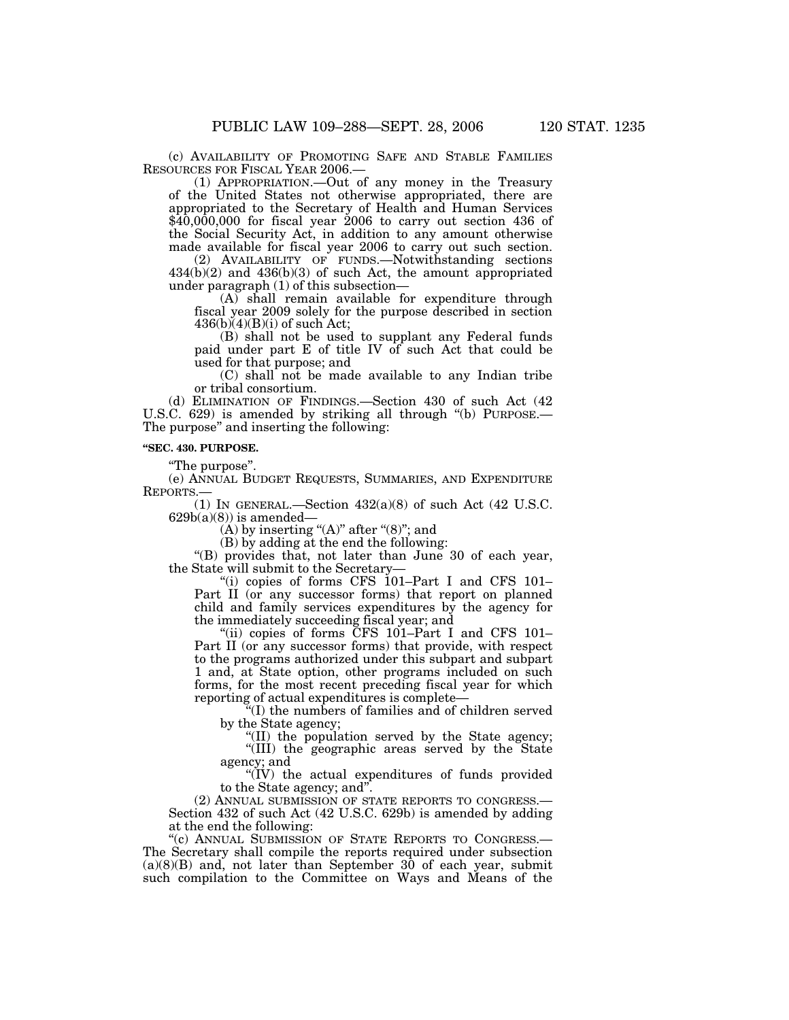(c) AVAILABILITY OF PROMOTING SAFE AND STABLE FAMILIES RESOURCES FOR FISCAL YEAR 2006.—

(1) APPROPRIATION.—Out of any money in the Treasury of the United States not otherwise appropriated, there are appropriated to the Secretary of Health and Human Services  $\frac{$40,000,000}{436}$  for fiscal year 2006 to carry out section 436 of the Social Security Act, in addition to any amount otherwise made available for fiscal year 2006 to carry out such section.

(2) AVAILABILITY OF FUNDS.—Notwithstanding sections 434(b)(2) and 436(b)(3) of such Act, the amount appropriated under paragraph (1) of this subsection—

(A) shall remain available for expenditure through fiscal year 2009 solely for the purpose described in section  $436(b)(4)(B)(i)$  of such Act;

(B) shall not be used to supplant any Federal funds paid under part E of title IV of such Act that could be used for that purpose; and

 $(C)$  shall not be made available to any Indian tribe or tribal consortium.

(d) ELIMINATION OF FINDINGS.—Section 430 of such Act (42 U.S.C. 629) is amended by striking all through "(b) PURPOSE.— The purpose'' and inserting the following:

### **''SEC. 430. PURPOSE.**

''The purpose''.

(e) ANNUAL BUDGET REQUESTS, SUMMARIES, AND EXPENDITURE REPORTS.—

(1) IN GENERAL.—Section  $432(a)(8)$  of such Act (42 U.S.C.  $629b(a)(8)$ ) is amended—

 $(A)$  by inserting " $(A)$ " after " $(8)$ "; and

(B) by adding at the end the following:

''(B) provides that, not later than June 30 of each year, the State will submit to the Secretary—

"(i) copies of forms CFS  $101$ -Part I and CFS  $101$ -Part II (or any successor forms) that report on planned child and family services expenditures by the agency for the immediately succeeding fiscal year; and

"(ii) copies of forms CFS 101–Part I and CFS 101– Part II (or any successor forms) that provide, with respect to the programs authorized under this subpart and subpart 1 and, at State option, other programs included on such forms, for the most recent preceding fiscal year for which reporting of actual expenditures is complete—

''(I) the numbers of families and of children served by the State agency;

''(II) the population served by the State agency; ''(III) the geographic areas served by the State agency; and

''(IV) the actual expenditures of funds provided

to the State agency; and".<br>(2) ANNUAL SUBMISSION OF STATE REPORTS TO CONGRESS.— Section 432 of such Act (42 U.S.C. 629b) is amended by adding at the end the following:

''(c) ANNUAL SUBMISSION OF STATE REPORTS TO CONGRESS.— The Secretary shall compile the reports required under subsection  $(a)(8)(B)$  and, not later than September 30 of each year, submit such compilation to the Committee on Ways and Means of the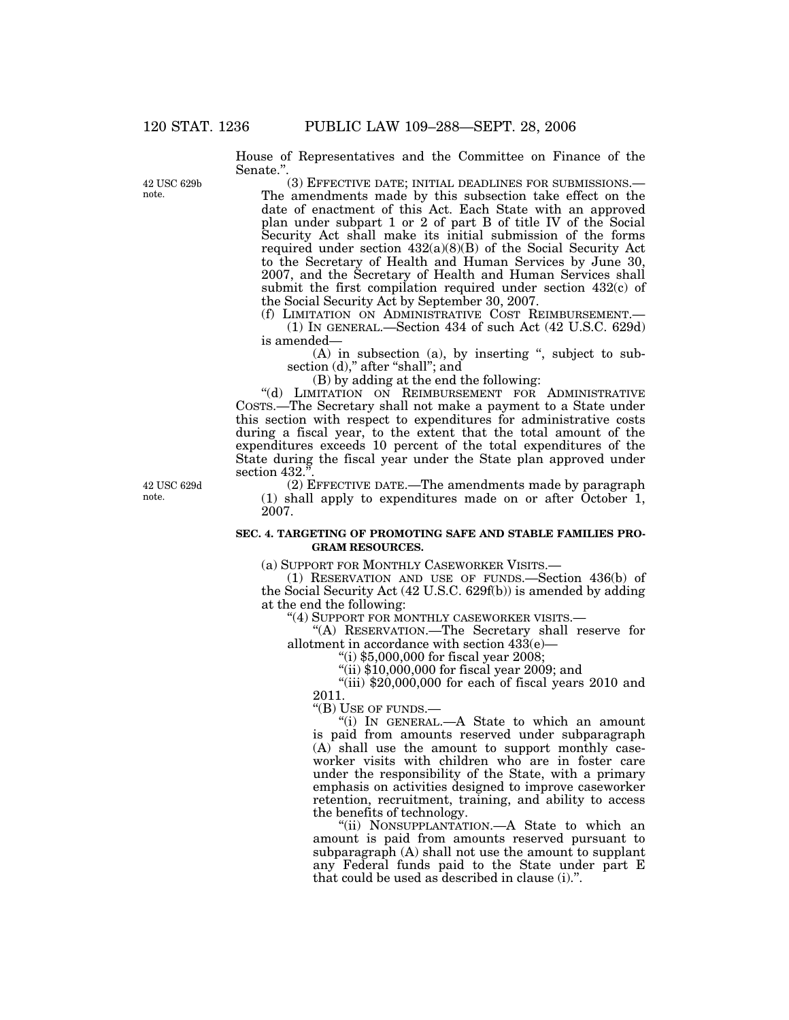House of Representatives and the Committee on Finance of the Senate.''.

42 USC 629b note.

(3) EFFECTIVE DATE; INITIAL DEADLINES FOR SUBMISSIONS.— The amendments made by this subsection take effect on the date of enactment of this Act. Each State with an approved plan under subpart 1 or 2 of part B of title IV of the Social Security Act shall make its initial submission of the forms required under section 432(a)(8)(B) of the Social Security Act to the Secretary of Health and Human Services by June 30, 2007, and the Secretary of Health and Human Services shall submit the first compilation required under section 432(c) of the Social Security Act by September 30, 2007.

(f) LIMITATION ON ADMINISTRATIVE COST REIMBURSEMENT.— (1) IN GENERAL.—Section 434 of such Act (42 U.S.C. 629d) is amended—

(A) in subsection (a), by inserting '', subject to subsection (d)," after "shall"; and

(B) by adding at the end the following:

"(d) LIMITATION ON REIMBURSEMENT FOR ADMINISTRATIVE COSTS.—The Secretary shall not make a payment to a State under this section with respect to expenditures for administrative costs during a fiscal year, to the extent that the total amount of the expenditures exceeds 10 percent of the total expenditures of the State during the fiscal year under the State plan approved under section 432."

42 USC 629d note.

(2) EFFECTIVE DATE.—The amendments made by paragraph (1) shall apply to expenditures made on or after October 1, 2007.

# **SEC. 4. TARGETING OF PROMOTING SAFE AND STABLE FAMILIES PRO-GRAM RESOURCES.**

(a) SUPPORT FOR MONTHLY CASEWORKER VISITS.—

(1) RESERVATION AND USE OF FUNDS.—Section 436(b) of the Social Security Act (42 U.S.C. 629f(b)) is amended by adding at the end the following:

''(4) SUPPORT FOR MONTHLY CASEWORKER VISITS.—

''(A) RESERVATION.—The Secretary shall reserve for allotment in accordance with section  $43\dot{3}(e)$ —

''(i) \$5,000,000 for fiscal year 2008;

''(ii) \$10,000,000 for fiscal year 2009; and

"(iii)  $$20,000,000$  for each of fiscal years  $2010$  and 2011.

''(B) USE OF FUNDS.—

''(i) IN GENERAL.—A State to which an amount is paid from amounts reserved under subparagraph (A) shall use the amount to support monthly caseworker visits with children who are in foster care under the responsibility of the State, with a primary emphasis on activities designed to improve caseworker retention, recruitment, training, and ability to access the benefits of technology.

''(ii) NONSUPPLANTATION.—A State to which an amount is paid from amounts reserved pursuant to subparagraph  $(A)$  shall not use the amount to supplant any Federal funds paid to the State under part E that could be used as described in clause (i).''.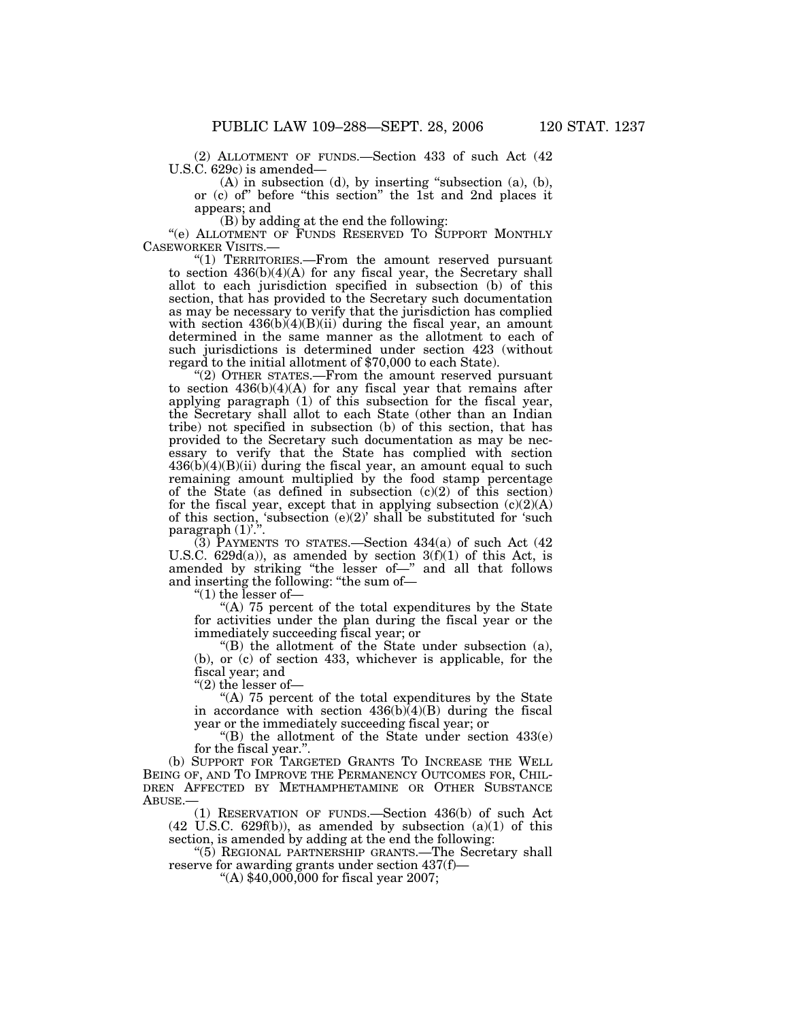(2) ALLOTMENT OF FUNDS.—Section 433 of such Act (42 U.S.C. 629c) is amended—

 $(A)$  in subsection  $(d)$ , by inserting "subsection  $(a)$ ,  $(b)$ , or (c) of'' before ''this section'' the 1st and 2nd places it appears; and

(B) by adding at the end the following:

"(e) ALLOTMENT OF FUNDS RESERVED TO SUPPORT MONTHLY CASEWORKER VISITS.—

"(1) TERRITORIES.— From the amount reserved pursuant to section 436(b)(4)(A) for any fiscal year, the Secretary shall allot to each jurisdiction specified in subsection (b) of this section, that has provided to the Secretary such documentation as may be necessary to verify that the jurisdiction has complied with section  $436(b)(4)(B)(ii)$  during the fiscal year, an amount determined in the same manner as the allotment to each of such jurisdictions is determined under section 423 (without regard to the initial allotment of \$70,000 to each State).

"(2) OTHER STATES.—From the amount reserved pursuant to section 436(b)(4)(A) for any fiscal year that remains after applying paragraph (1) of this subsection for the fiscal year, the Secretary shall allot to each State (other than an Indian tribe) not specified in subsection (b) of this section, that has provided to the Secretary such documentation as may be necessary to verify that the State has complied with section  $436(b)(4)(B)(ii)$  during the fiscal year, an amount equal to such remaining amount multiplied by the food stamp percentage of the State (as defined in subsection  $(c)(2)$  of this section) for the fiscal year, except that in applying subsection  $(c)(2)(A)$ of this section, 'subsection  $(e)(2)$ ' shall be substituted for 'such paragraph (1)'.".

(3) PAYMENTS TO STATES.—Section 434(a) of such Act (42 U.S.C. 629d(a)), as amended by section  $3(f)(1)$  of this Act, is amended by striking ''the lesser of—'' and all that follows and inserting the following: ''the sum of—

" $(1)$  the lesser of-

"(A)  $75$  percent of the total expenditures by the State for activities under the plan during the fiscal year or the immediately succeeding fiscal year; or

''(B) the allotment of the State under subsection (a), (b), or (c) of section 433, whichever is applicable, for the fiscal year; and

" $(2)$  the lesser of-

"(A) 75 percent of the total expenditures by the State in accordance with section  $436(b)(4)(B)$  during the fiscal year or the immediately succeeding fiscal year; or

"(B) the allotment of the State under section  $433(e)$ for the fiscal year.''.

(b) SUPPORT FOR TARGETED GRANTS TO INCREASE THE WELL BEING OF, AND TO IMPROVE THE PERMANENCY OUTCOMES FOR, CHIL-DREN AFFECTED BY METHAMPHETAMINE OR OTHER SUBSTANCE ABUSE -

(1) RESERVATION OF FUNDS.—Section 436(b) of such Act  $(42 \text{ U.S.C. } 629f(b))$ , as amended by subsection  $(a)(1)$  of this section, is amended by adding at the end the following:

''(5) REGIONAL PARTNERSHIP GRANTS.—The Secretary shall reserve for awarding grants under section  $437(f)$ —<br>"(A) \$40,000,000 for fiscal year 2007;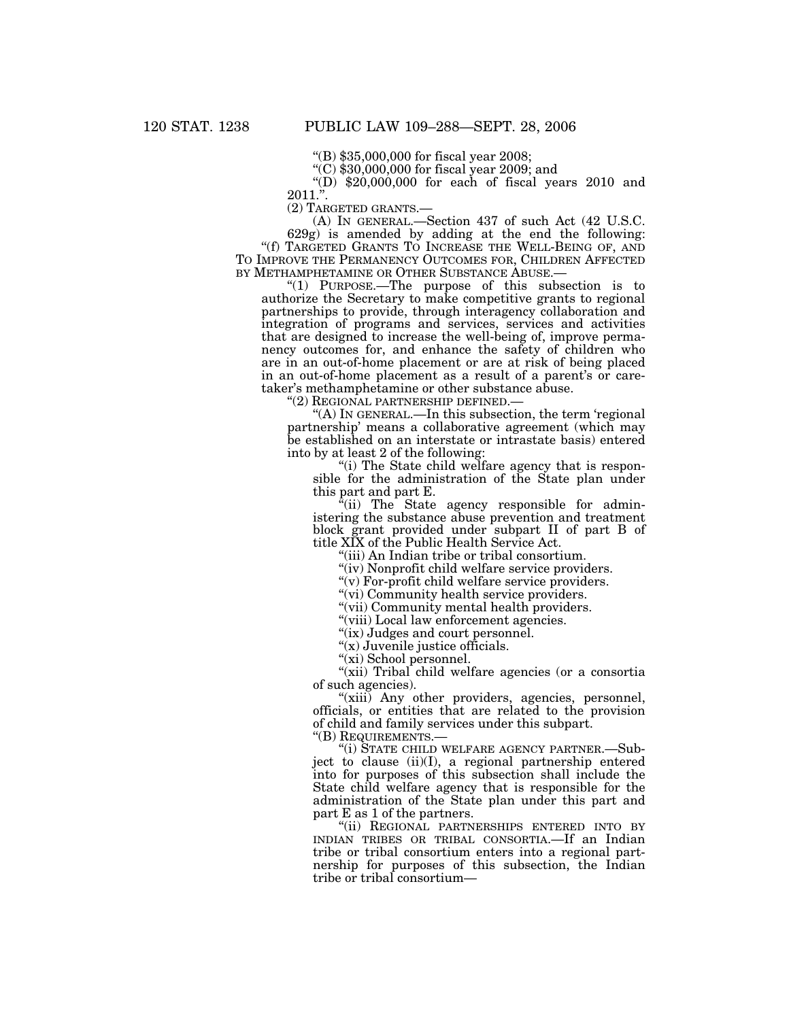''(B) \$35,000,000 for fiscal year 2008;

 $C($  \$30,000,000 for fiscal year 2009; and

"(D)  $$20,000,000$  for each of fiscal years 2010 and  $2011$ .".<br>(2) TARGETED GRANTS.-

(A) IN GENERAL.—Section  $437$  of such Act (42 U.S.C.

629g) is amended by adding at the end the following: "(f) TARGETED GRANTS TO INCREASE THE WELL-BEING OF, AND TO IMPROVE THE PERMANENCY OUTCOMES FOR, CHILDREN AFFECTED BY METHAMPHETAMINE OR OTHER SUBSTANCE ABUSE.—

 $H(1)$  PURPOSE.—The purpose of this subsection is to authorize the Secretary to make competitive grants to regional partnerships to provide, through interagency collaboration and integration of programs and services, services and activities that are designed to increase the well-being of, improve permanency outcomes for, and enhance the safety of children who are in an out-of-home placement or are at risk of being placed in an out-of-home placement as a result of a parent's or caretaker's methamphetamine or other substance abuse.

''(2) REGIONAL PARTNERSHIP DEFINED.—

 $(A)$  In GENERAL.—In this subsection, the term 'regional partnership' means a collaborative agreement (which may be established on an interstate or intrastate basis) entered into by at least 2 of the following:

"(i) The State child welfare agency that is responsible for the administration of the State plan under this part and part E.

"(ii) The State agency responsible for administering the substance abuse prevention and treatment block grant provided under subpart II of part B of title XIX of the Public Health Service Act.

''(iii) An Indian tribe or tribal consortium.

"(iv) Nonprofit child welfare service providers.

" $(v)$  For-profit child welfare service providers.

"(vi) Community health service providers.

"(vii) Community mental health providers.

"(viii) Local law enforcement agencies.

"(ix) Judges and court personnel.

"(x) Juvenile justice officials.

''(xi) School personnel.

"(xii) Tribal child welfare agencies (or a consortia of such agencies).

"(xiii) Any other providers, agencies, personnel, officials, or entities that are related to the provision of child and family services under this subpart.

''(B) REQUIREMENTS.—

''(i) STATE CHILD WELFARE AGENCY PARTNER.—Subject to clause (ii)(I), a regional partnership entered into for purposes of this subsection shall include the State child welfare agency that is responsible for the administration of the State plan under this part and part E as 1 of the partners.

''(ii) REGIONAL PARTNERSHIPS ENTERED INTO BY INDIAN TRIBES OR TRIBAL CONSORTIA.—If an Indian tribe or tribal consortium enters into a regional partnership for purposes of this subsection, the Indian tribe or tribal consortium—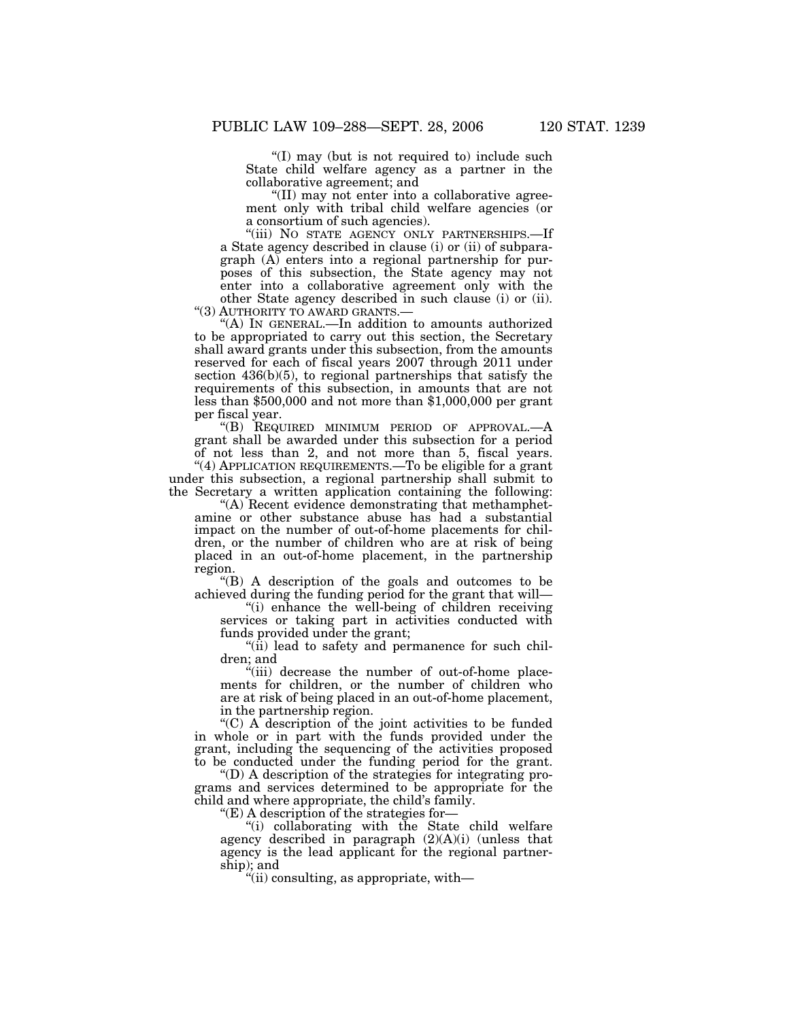''(I) may (but is not required to) include such State child welfare agency as a partner in the collaborative agreement; and

''(II) may not enter into a collaborative agreement only with tribal child welfare agencies (or a consortium of such agencies).

"(iii) NO STATE AGENCY ONLY PARTNERSHIPS.—If a State agency described in clause (i) or (ii) of subparagraph (A) enters into a regional partnership for purposes of this subsection, the State agency may not enter into a collaborative agreement only with the other State agency described in such clause (i) or (ii). "(3) AUTHORITY TO AWARD GRANTS.—

"(A) IN GENERAL.—In addition to amounts authorized to be appropriated to carry out this section, the Secretary shall award grants under this subsection, from the amounts reserved for each of fiscal years 2007 through 2011 under section 436(b)(5), to regional partnerships that satisfy the requirements of this subsection, in amounts that are not less than \$500,000 and not more than \$1,000,000 per grant per fiscal year.

''(B) REQUIRED MINIMUM PERIOD OF APPROVAL.—A grant shall be awarded under this subsection for a period of not less than 2, and not more than 5, fiscal years. ''(4) APPLICATION REQUIREMENTS.—To be eligible for a grant under this subsection, a regional partnership shall submit to

the Secretary a written application containing the following: ''(A) Recent evidence demonstrating that methamphet-

amine or other substance abuse has had a substantial impact on the number of out-of-home placements for children, or the number of children who are at risk of being placed in an out-of-home placement, in the partnership region.

''(B) A description of the goals and outcomes to be achieved during the funding period for the grant that will—

''(i) enhance the well-being of children receiving services or taking part in activities conducted with funds provided under the grant;

 $\sin$  lead to safety and permanence for such children; and

''(iii) decrease the number of out-of-home placements for children, or the number of children who are at risk of being placed in an out-of-home placement, in the partnership region.

"(C) A description of the joint activities to be funded in whole or in part with the funds provided under the grant, including the sequencing of the activities proposed to be conducted under the funding period for the grant.

''(D) A description of the strategies for integrating programs and services determined to be appropriate for the child and where appropriate, the child's family.

''(E) A description of the strategies for—

''(i) collaborating with the State child welfare agency described in paragraph  $(2)(A)(i)$  (unless that agency is the lead applicant for the regional partnership); and

''(ii) consulting, as appropriate, with—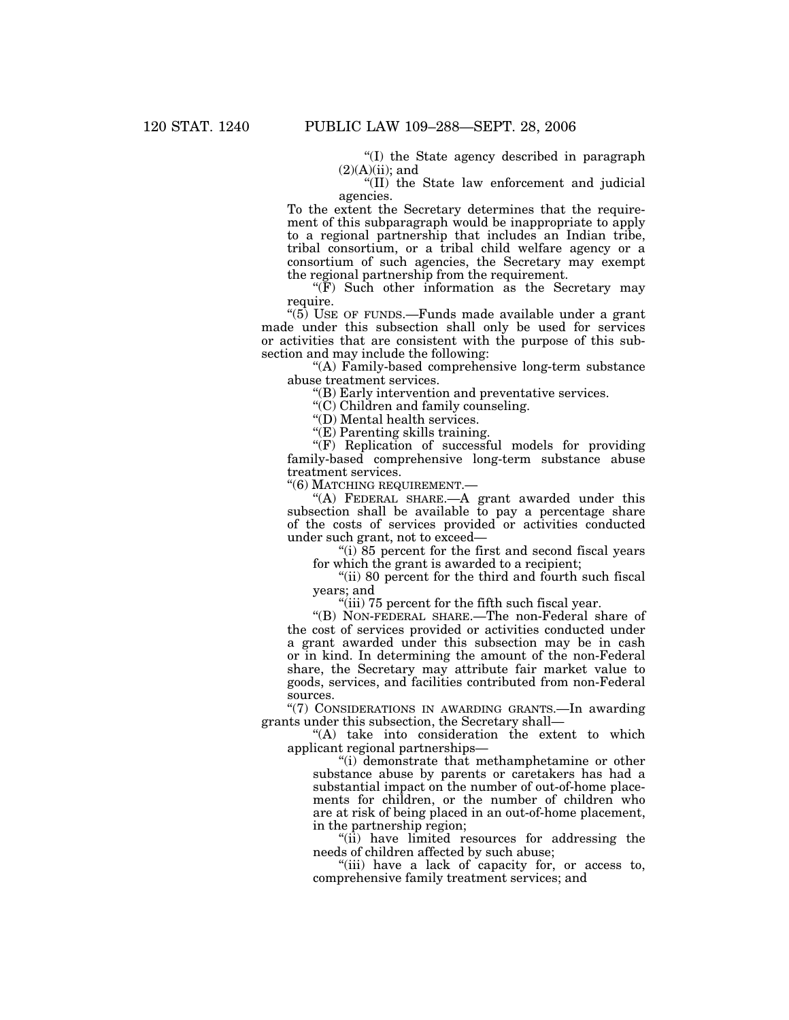''(I) the State agency described in paragraph  $(2)(A)(ii)$ ; and

''(II) the State law enforcement and judicial agencies.

To the extent the Secretary determines that the requirement of this subparagraph would be inappropriate to apply to a regional partnership that includes an Indian tribe, tribal consortium, or a tribal child welfare agency or a consortium of such agencies, the Secretary may exempt the regional partnership from the requirement.

 $(F)$  Such other information as the Secretary may require.

" $(5)$  USE OF FUNDS.—Funds made available under a grant made under this subsection shall only be used for services or activities that are consistent with the purpose of this subsection and may include the following:

''(A) Family-based comprehensive long-term substance abuse treatment services.

''(B) Early intervention and preventative services.

"(C) Children and family counseling.

''(D) Mental health services.

''(E) Parenting skills training.

"(F) Replication of successful models for providing family-based comprehensive long-term substance abuse treatment services.

''(6) MATCHING REQUIREMENT.—

''(A) FEDERAL SHARE.—A grant awarded under this subsection shall be available to pay a percentage share of the costs of services provided or activities conducted under such grant, not to exceed—

''(i) 85 percent for the first and second fiscal years for which the grant is awarded to a recipient;

"(ii) 80 percent for the third and fourth such fiscal years; and

"(iii) 75 percent for the fifth such fiscal year.

''(B) NON-FEDERAL SHARE.—The non-Federal share of the cost of services provided or activities conducted under a grant awarded under this subsection may be in cash or in kind. In determining the amount of the non-Federal share, the Secretary may attribute fair market value to goods, services, and facilities contributed from non-Federal sources.

"(7) CONSIDERATIONS IN AWARDING GRANTS.-In awarding grants under this subsection, the Secretary shall—

"(A) take into consideration the extent to which applicant regional partnerships—

''(i) demonstrate that methamphetamine or other substance abuse by parents or caretakers has had a substantial impact on the number of out-of-home placements for children, or the number of children who are at risk of being placed in an out-of-home placement, in the partnership region;

''(ii) have limited resources for addressing the needs of children affected by such abuse;

"(iii) have a lack of capacity for, or access to, comprehensive family treatment services; and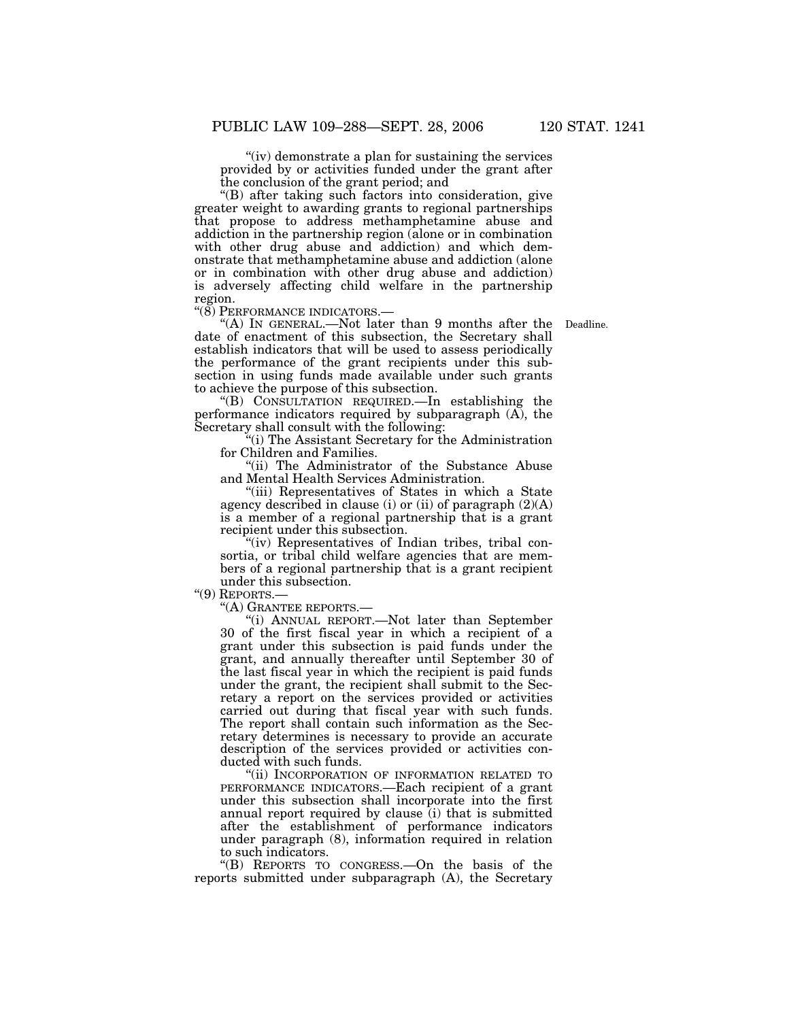"(iv) demonstrate a plan for sustaining the services provided by or activities funded under the grant after the conclusion of the grant period; and

''(B) after taking such factors into consideration, give greater weight to awarding grants to regional partnerships that propose to address methamphetamine abuse and addiction in the partnership region (alone or in combination with other drug abuse and addiction) and which demonstrate that methamphetamine abuse and addiction (alone or in combination with other drug abuse and addiction) is adversely affecting child welfare in the partnership region.<br>"(8) PERFORMANCE INDICATORS.—

Deadline.

"(A) IN GENERAL.—Not later than 9 months after the date of enactment of this subsection, the Secretary shall establish indicators that will be used to assess periodically the performance of the grant recipients under this subsection in using funds made available under such grants to achieve the purpose of this subsection.

''(B) CONSULTATION REQUIRED.—In establishing the performance indicators required by subparagraph (A), the Secretary shall consult with the following:

''(i) The Assistant Secretary for the Administration for Children and Families.

''(ii) The Administrator of the Substance Abuse and Mental Health Services Administration.

''(iii) Representatives of States in which a State agency described in clause (i) or (ii) of paragraph  $(2)(A)$ is a member of a regional partnership that is a grant recipient under this subsection.

"(iv) Representatives of Indian tribes, tribal consortia, or tribal child welfare agencies that are members of a regional partnership that is a grant recipient under this subsection.<br>
"(9) REPORTS.—

''(9) REPORTS.— ''(A) GRANTEE REPORTS.—

"(i) ANNUAL REPORT.—Not later than September 30 of the first fiscal year in which a recipient of a grant under this subsection is paid funds under the grant, and annually thereafter until September 30 of the last fiscal year in which the recipient is paid funds under the grant, the recipient shall submit to the Secretary a report on the services provided or activities carried out during that fiscal year with such funds. The report shall contain such information as the Secretary determines is necessary to provide an accurate description of the services provided or activities conducted with such funds.

''(ii) INCORPORATION OF INFORMATION RELATED TO PERFORMANCE INDICATORS.—Each recipient of a grant under this subsection shall incorporate into the first annual report required by clause (i) that is submitted after the establishment of performance indicators under paragraph (8), information required in relation to such indicators.

''(B) REPORTS TO CONGRESS.—On the basis of the reports submitted under subparagraph (A), the Secretary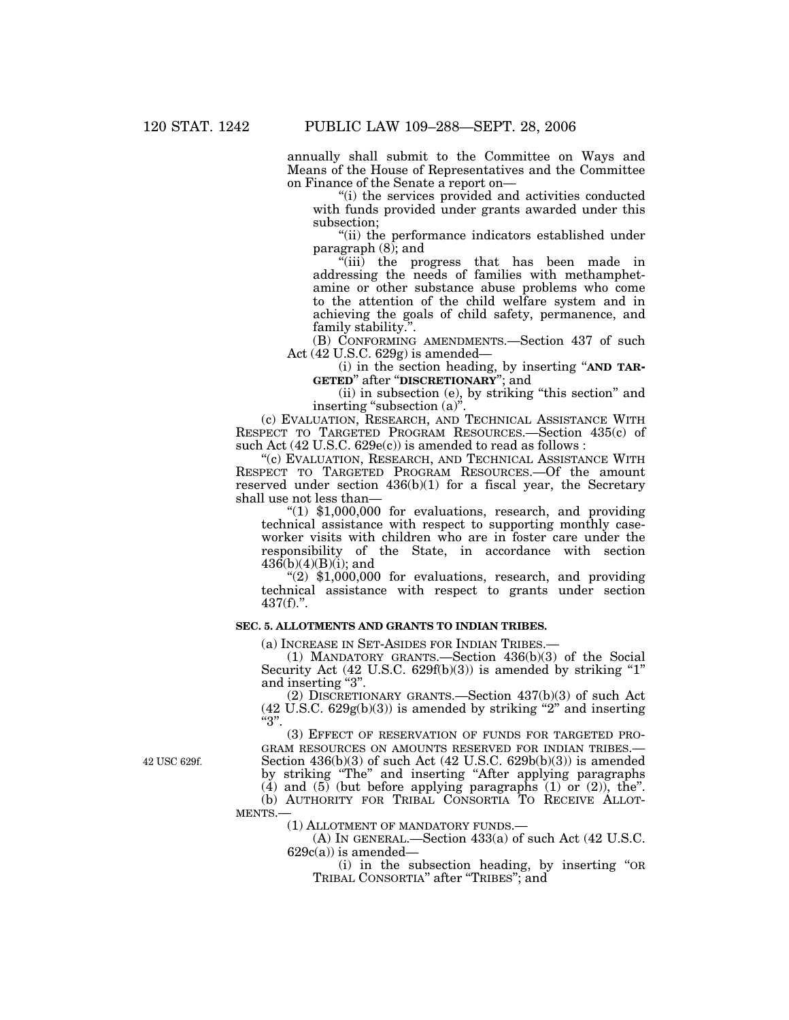annually shall submit to the Committee on Ways and Means of the House of Representatives and the Committee on Finance of the Senate a report on—

"(i) the services provided and activities conducted with funds provided under grants awarded under this subsection;

''(ii) the performance indicators established under paragraph (8); and

 $\sqrt[n]{i}$  the progress that has been made in addressing the needs of families with methamphetamine or other substance abuse problems who come to the attention of the child welfare system and in achieving the goals of child safety, permanence, and family stability.''.

(B) CONFORMING AMENDMENTS.—Section 437 of such Act (42 U.S.C. 629g) is amended—

(i) in the section heading, by inserting ''**AND TAR-GETED**'' after ''**DISCRETIONARY**''; and

(ii) in subsection (e), by striking ''this section'' and inserting "subsection (a)".

(c) EVALUATION, RESEARCH, AND TECHNICAL ASSISTANCE WITH RESPECT TO TARGETED PROGRAM RESOURCES.—Section 435(c) of such Act (42 U.S.C. 629e(c)) is amended to read as follows :

''(c) EVALUATION, RESEARCH, AND TECHNICAL ASSISTANCE WITH RESPECT TO TARGETED PROGRAM RESOURCES.—Of the amount reserved under section  $436(b)(1)$  for a fiscal year, the Secretary shall use not less than—

" $(1)$  \$1,000,000 for evaluations, research, and providing technical assistance with respect to supporting monthly caseworker visits with children who are in foster care under the responsibility of the State, in accordance with section  $436(b)(4)(B)(i)$ ; and

 $''(2)$  \$1,000,000 for evaluations, research, and providing technical assistance with respect to grants under section 437(f).''.

# **SEC. 5. ALLOTMENTS AND GRANTS TO INDIAN TRIBES.**

(a) INCREASE IN SET-ASIDES FOR INDIAN TRIBES.—

(1) MANDATORY GRANTS.—Section 436(b)(3) of the Social Security Act  $(42 \text{ U.S.C. } 629f(b)(3))$  is amended by striking "1" and inserting "3".

(2) DISCRETIONARY GRANTS.—Section 437(b)(3) of such Act  $(42 \text{ U.S.C. } 629g(b)(3))$  is amended by striking "2" and inserting  $"3"$ .

(3) EFFECT OF RESERVATION OF FUNDS FOR TARGETED PRO-GRAM RESOURCES ON AMOUNTS RESERVED FOR INDIAN TRIBES.— Section  $436(b)(3)$  of such Act  $(42 \text{ U.S.C. } 629b(b)(3))$  is amended by striking ''The'' and inserting ''After applying paragraphs (4) and (5) (but before applying paragraphs (1) or (2)), the''. (b) AUTHORITY FOR TRIBAL CONSORTIA TO RECEIVE ALLOT-MENTS.—

(1) ALLOTMENT OF MANDATORY FUNDS.—

(A) IN GENERAL.—Section 433(a) of such Act (42 U.S.C.  $629c(a)$ ) is amended—

(i) in the subsection heading, by inserting ''OR TRIBAL CONSORTIA'' after ''TRIBES''; and

42 USC 629f.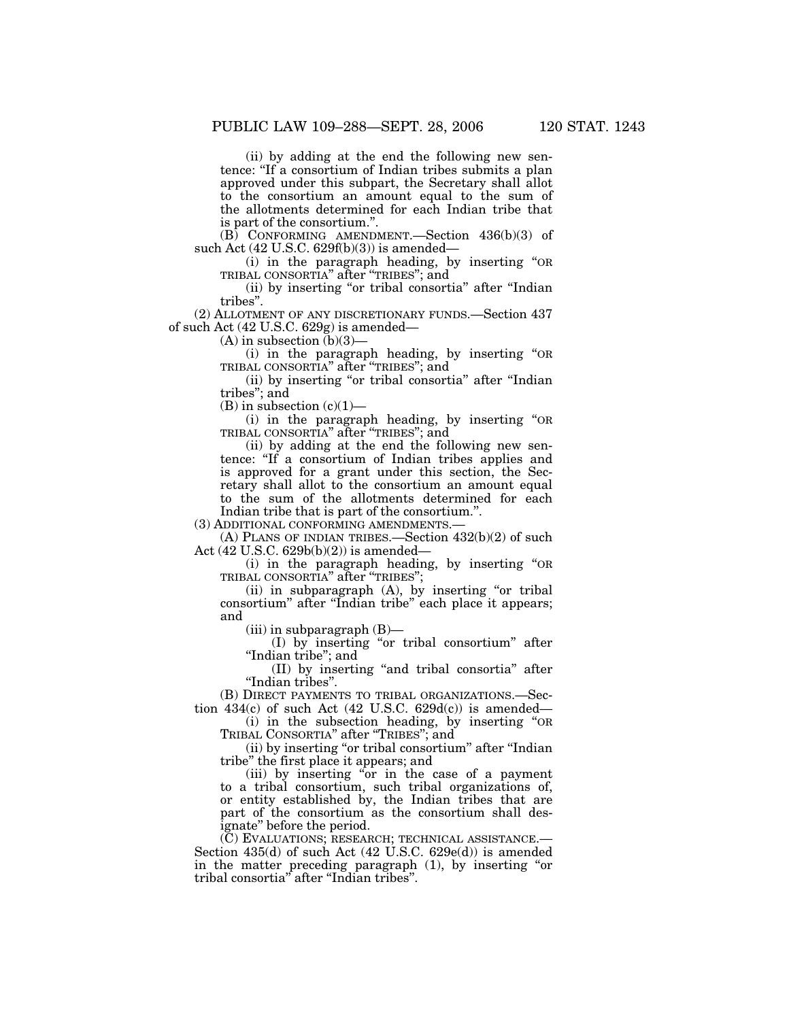(ii) by adding at the end the following new sentence: ''If a consortium of Indian tribes submits a plan approved under this subpart, the Secretary shall allot to the consortium an amount equal to the sum of the allotments determined for each Indian tribe that is part of the consortium.''.

 $(B)$  CONFORMING AMENDMENT. Section 436(b)(3) of such Act (42 U.S.C. 629f(b)(3)) is amended-

(i) in the paragraph heading, by inserting ''OR TRIBAL CONSORTIA'' after ''TRIBES''; and

(ii) by inserting "or tribal consortia" after "Indian tribes''.

(2) ALLOTMENT OF ANY DISCRETIONARY FUNDS.—Section 437 of such Act (42 U.S.C. 629g) is amended—

(A) in subsection  $(b)(3)$ –

(i) in the paragraph heading, by inserting ''OR TRIBAL CONSORTIA'' after ''TRIBES''; and

(ii) by inserting "or tribal consortia" after "Indian tribes''; and

 $(B)$  in subsection  $(c)(1)$ —

(i) in the paragraph heading, by inserting ''OR TRIBAL CONSORTIA'' after ''TRIBES''; and

(ii) by adding at the end the following new sentence: ''If a consortium of Indian tribes applies and is approved for a grant under this section, the Secretary shall allot to the consortium an amount equal to the sum of the allotments determined for each Indian tribe that is part of the consortium.''.

(3) ADDITIONAL CONFORMING AMENDMENTS.—

(A) PLANS OF INDIAN TRIBES.—Section 432(b)(2) of such Act (42 U.S.C. 629b(b)(2)) is amended—

(i) in the paragraph heading, by inserting ''OR TRIBAL CONSORTIA'' after ''TRIBES'';

(ii) in subparagraph (A), by inserting ''or tribal consortium'' after ''Indian tribe'' each place it appears; and

 $(iii)$  in subparagraph  $(B)$ —

(I) by inserting ''or tribal consortium'' after ''Indian tribe''; and

(II) by inserting ''and tribal consortia'' after ''Indian tribes''.

(B) DIRECT PAYMENTS TO TRIBAL ORGANIZATIONS.—Section  $434(c)$  of such Act (42 U.S.C. 629d(c)) is amended—

(i) in the subsection heading, by inserting ''OR TRIBAL CONSORTIA'' after ''TRIBES''; and

(ii) by inserting ''or tribal consortium'' after ''Indian tribe'' the first place it appears; and

(iii) by inserting ''or in the case of a payment to a tribal consortium, such tribal organizations of, or entity established by, the Indian tribes that are part of the consortium as the consortium shall designate'' before the period.

(C) EVALUATIONS; RESEARCH; TECHNICAL ASSISTANCE.— Section 435(d) of such Act (42 U.S.C. 629e(d)) is amended in the matter preceding paragraph (1), by inserting ''or tribal consortia'' after ''Indian tribes''.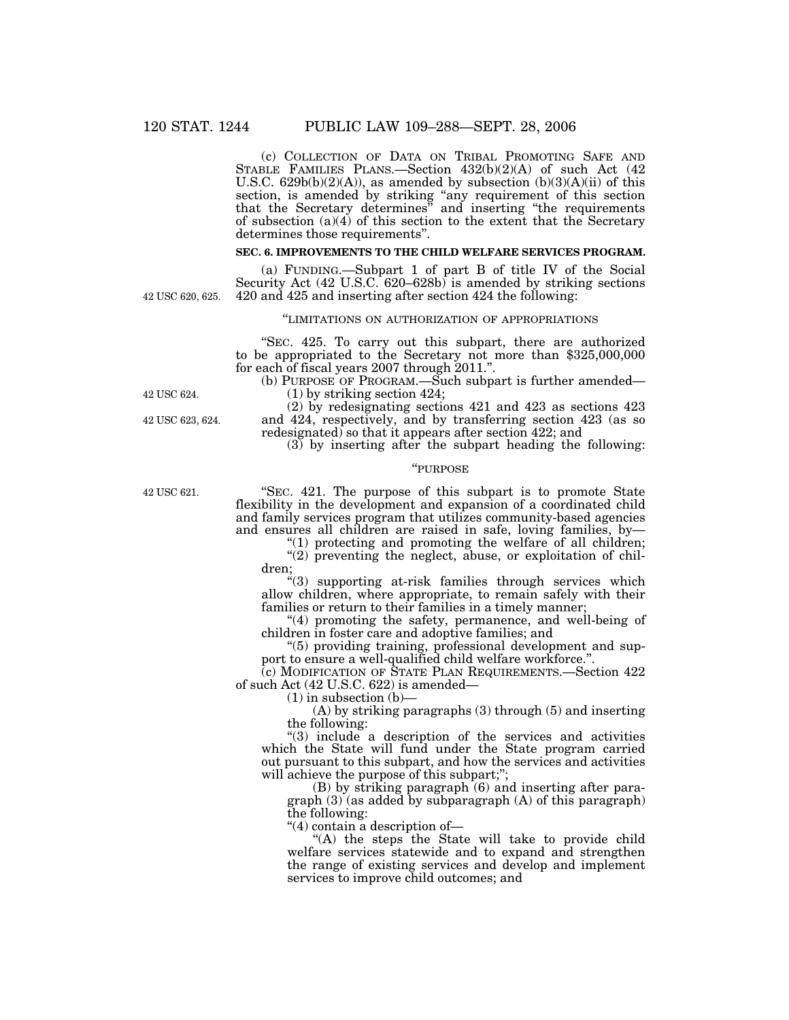(c) COLLECTION OF DATA ON TRIBAL PROMOTING SAFE AND STABLE FAMILIES PLANS.—Section 432(b)(2)(A) of such Act (42 U.S.C.  $629b(b)(2)(A)$ , as amended by subsection  $(b)(3)(A)(ii)$  of this section, is amended by striking "any requirement of this section that the Secretary determines'' and inserting ''the requirements of subsection (a)(4) of this section to the extent that the Secretary determines those requirements''.

# **SEC. 6. IMPROVEMENTS TO THE CHILD WELFARE SERVICES PROGRAM.**

(a) FUNDING.—Subpart 1 of part B of title IV of the Social Security Act (42 U.S.C. 620–628b) is amended by striking sections 420 and 425 and inserting after section 424 the following:

''LIMITATIONS ON AUTHORIZATION OF APPROPRIATIONS

''SEC. 425. To carry out this subpart, there are authorized to be appropriated to the Secretary not more than \$325,000,000 for each of fiscal years 2007 through 2011.''.

(b) PURPOSE OF PROGRAM.—Such subpart is further amended— (1) by striking section 424;

(2) by redesignating sections 421 and 423 as sections 423 and 424, respectively, and by transferring section 423 (as so redesignated) so that it appears after section 422; and

 $(3)$  by inserting after the subpart heading the following:

# ''PURPOSE

''SEC. 421. The purpose of this subpart is to promote State flexibility in the development and expansion of a coordinated child and family services program that utilizes community-based agencies and ensures all children are raised in safe, loving families, by—

" $(1)$  protecting and promoting the welfare of all children;

" $(2)$  preventing the neglect, abuse, or exploitation of children;

 $(3)$  supporting at-risk families through services which allow children, where appropriate, to remain safely with their families or return to their families in a timely manner;

"(4) promoting the safety, permanence, and well-being of children in foster care and adoptive families; and

''(5) providing training, professional development and support to ensure a well-qualified child welfare workforce.''.

(c) MODIFICATION OF STATE PLAN REQUIREMENTS.—Section 422 of such Act (42 U.S.C. 622) is amended—

 $(1)$  in subsection  $(b)$ —

(A) by striking paragraphs (3) through (5) and inserting the following:

"(3) include a description of the services and activities which the State will fund under the State program carried out pursuant to this subpart, and how the services and activities will achieve the purpose of this subpart;";

(B) by striking paragraph (6) and inserting after paragraph (3) (as added by subparagraph (A) of this paragraph) the following:

''(4) contain a description of—

" $(A)$  the steps the State will take to provide child welfare services statewide and to expand and strengthen the range of existing services and develop and implement services to improve child outcomes; and

42 USC 624.

42 USC 623, 624.

42 USC 620, 625.

42 USC 621.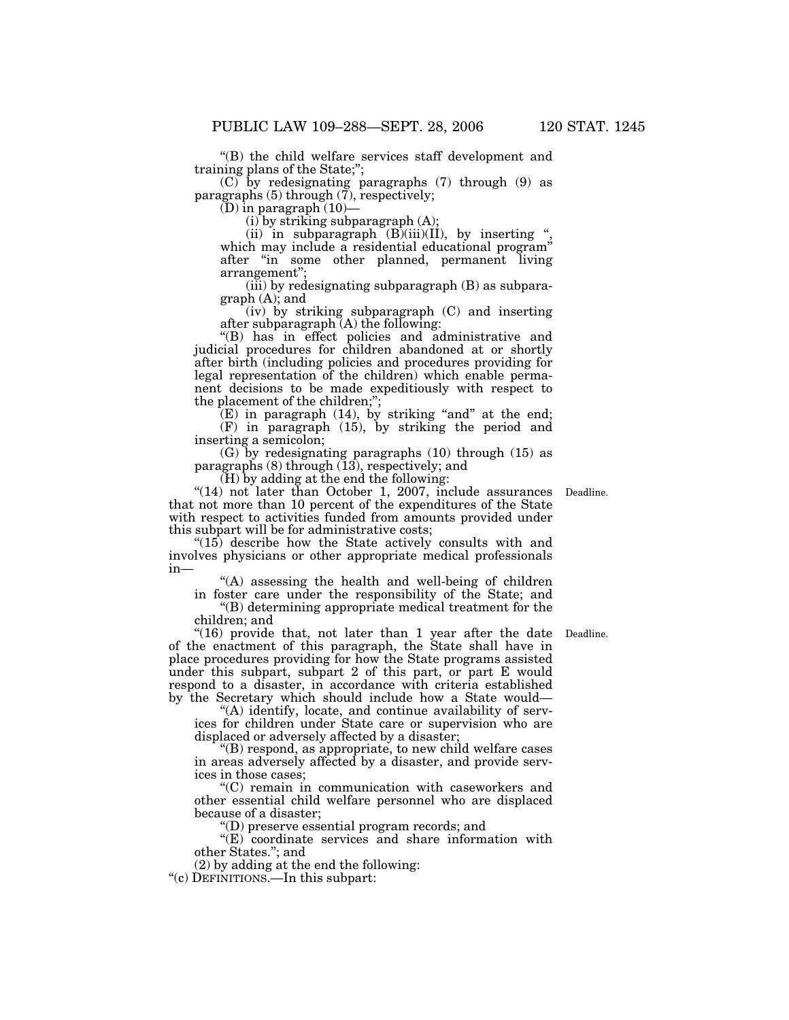''(B) the child welfare services staff development and training plans of the State;'';

(C) by redesignating paragraphs (7) through (9) as paragraphs (5) through (7), respectively;

(D) in paragraph (10)—

 $(i)$  by striking subparagraph  $(A)$ ;

(ii) in subparagraph  $(B)(iii)(II)$ , by inserting " which may include a residential educational program" after ''in some other planned, permanent living arrangement'';

 $(iii)$  by redesignating subparagraph  $(B)$  as subparagraph (A); and

(iv) by striking subparagraph (C) and inserting after subparagraph (A) the following:

''(B) has in effect policies and administrative and judicial procedures for children abandoned at or shortly after birth (including policies and procedures providing for legal representation of the children) which enable permanent decisions to be made expeditiously with respect to the placement of the children;'';

 $(E)$  in paragraph  $(14)$ , by striking "and" at the end; (F) in paragraph (15), by striking the period and

inserting a semicolon; (G) by redesignating paragraphs (10) through (15) as paragraphs  $(8)$  through  $(13)$ , respectively; and

(H) by adding at the end the following:

"(14) not later than October 1, 2007, include assurances Deadline. that not more than 10 percent of the expenditures of the State with respect to activities funded from amounts provided under this subpart will be for administrative costs;

"(15) describe how the State actively consults with and involves physicians or other appropriate medical professionals in—

 $(A)$  assessing the health and well-being of children

in foster care under the responsibility of the State; and ''(B) determining appropriate medical treatment for the children; and

Deadline.

"(16) provide that, not later than 1 year after the date of the enactment of this paragraph, the State shall have in place procedures providing for how the State programs assisted under this subpart, subpart 2 of this part, or part E would respond to a disaster, in accordance with criteria established by the Secretary which should include how a State would—

''(A) identify, locate, and continue availability of services for children under State care or supervision who are displaced or adversely affected by a disaster;

''(B) respond, as appropriate, to new child welfare cases in areas adversely affected by a disaster, and provide services in those cases;

''(C) remain in communication with caseworkers and other essential child welfare personnel who are displaced because of a disaster;

''(D) preserve essential program records; and

 $\mathcal{L}(E)$  coordinate services and share information with other States.''; and

(2) by adding at the end the following:

''(c) DEFINITIONS.—In this subpart: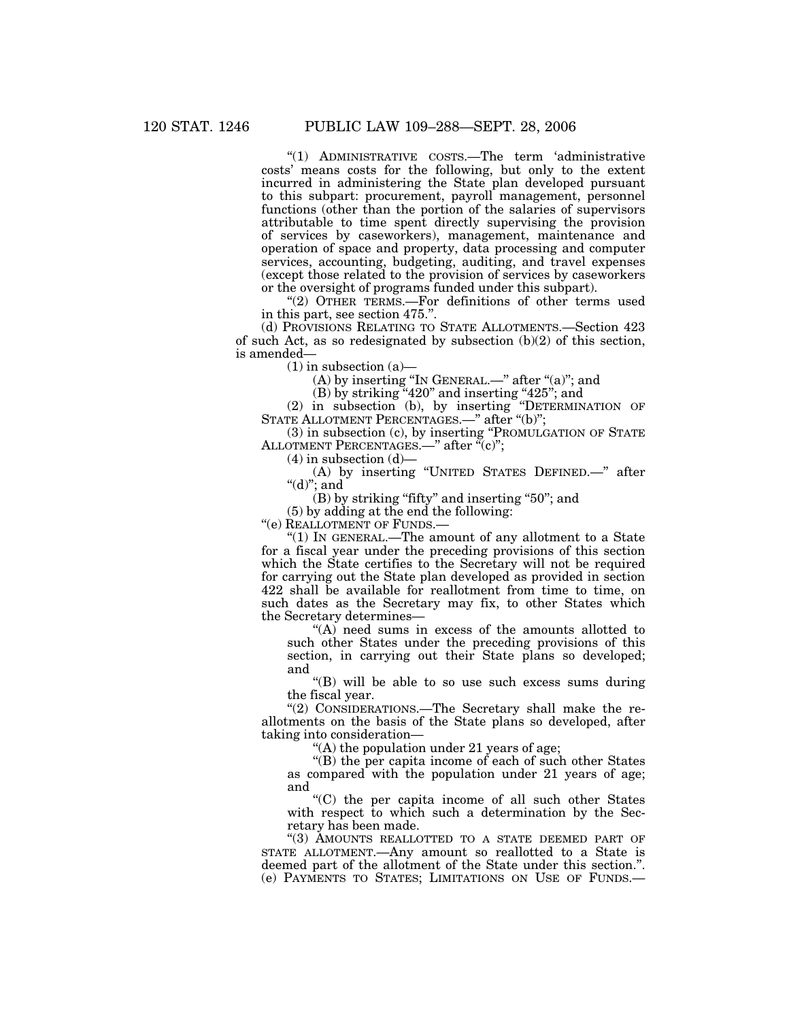''(1) ADMINISTRATIVE COSTS.—The term 'administrative costs' means costs for the following, but only to the extent incurred in administering the State plan developed pursuant to this subpart: procurement, payroll management, personnel functions (other than the portion of the salaries of supervisors attributable to time spent directly supervising the provision of services by caseworkers), management, maintenance and operation of space and property, data processing and computer services, accounting, budgeting, auditing, and travel expenses (except those related to the provision of services by caseworkers or the oversight of programs funded under this subpart).

"(2) OTHER TERMS.—For definitions of other terms used in this part, see section 475.''.

(d) PROVISIONS RELATING TO STATE ALLOTMENTS.—Section 423 of such Act, as so redesignated by subsection (b)(2) of this section, is amended—

 $(1)$  in subsection  $(a)$ —

(A) by inserting "In GENERAL.—" after "(a)"; and

 $(B)$  by striking "420" and inserting "425"; and

(2) in subsection (b), by inserting ''DETERMINATION OF STATE ALLOTMENT PERCENTAGES.—'' after ''(b)'';

(3) in subsection (c), by inserting ''PROMULGATION OF STATE ALLOTMENT PERCENTAGES.—" after  $\tilde{f}(c)$ ";

 $(4)$  in subsection  $(d)$ —

(A) by inserting ''UNITED STATES DEFINED.—'' after " $(d)$ "; and

 $(B)$  by striking "fifty" and inserting "50"; and

(5) by adding at the end the following:

''(e) REALLOTMENT OF FUNDS.—

''(1) IN GENERAL.—The amount of any allotment to a State for a fiscal year under the preceding provisions of this section which the State certifies to the Secretary will not be required for carrying out the State plan developed as provided in section 422 shall be available for reallotment from time to time, on such dates as the Secretary may fix, to other States which the Secretary determines—

"(A) need sums in excess of the amounts allotted to such other States under the preceding provisions of this section, in carrying out their State plans so developed; and

''(B) will be able to so use such excess sums during the fiscal year.

"(2) CONSIDERATIONS.—The Secretary shall make the reallotments on the basis of the State plans so developed, after taking into consideration—

"(A) the population under 21 years of age;

''(B) the per capita income of each of such other States as compared with the population under 21 years of age; and

''(C) the per capita income of all such other States with respect to which such a determination by the Secretary has been made.

"(3) AMOUNTS REALLOTTED TO A STATE DEEMED PART OF STATE ALLOTMENT.—Any amount so reallotted to a State is deemed part of the allotment of the State under this section.''. (e) PAYMENTS TO STATES; LIMITATIONS ON USE OF FUNDS.—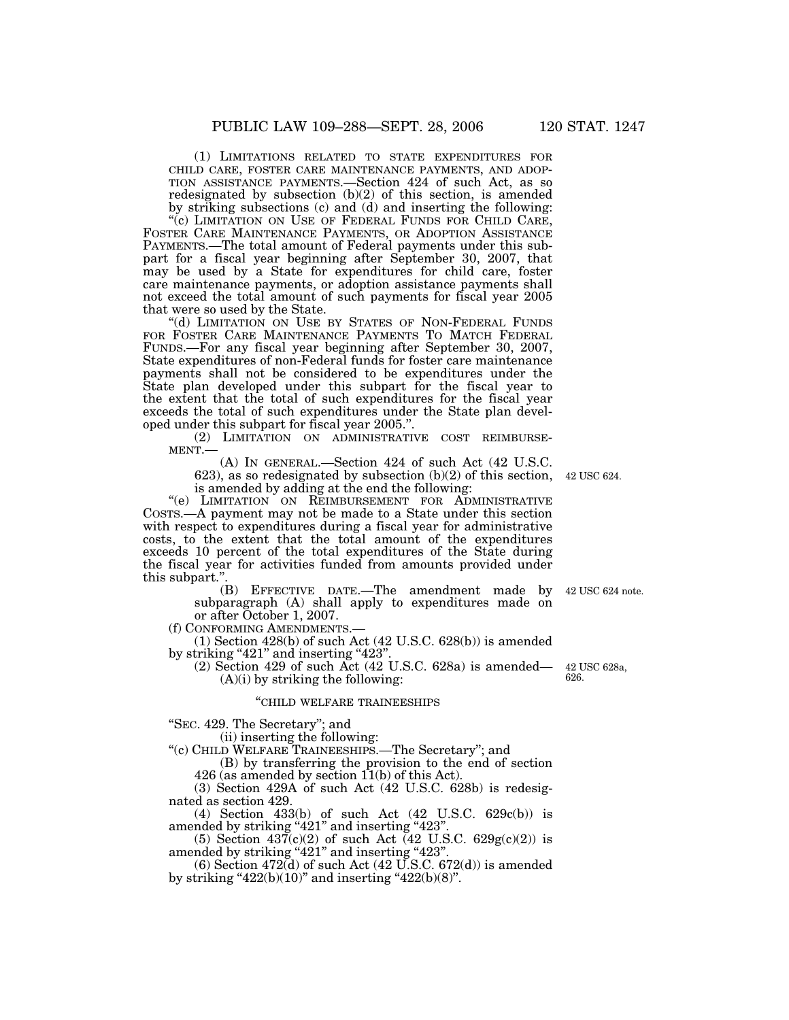(1) LIMITATIONS RELATED TO STATE EXPENDITURES FOR CHILD CARE, FOSTER CARE MAINTENANCE PAYMENTS, AND ADOP-TION ASSISTANCE PAYMENTS.—Section 424 of such Act, as so redesignated by subsection (b)(2) of this section, is amended by striking subsections (c) and (d) and inserting the following: "(c) LIMITATION ON USE OF FEDERAL FUNDS FOR CHILD CARE,

FOSTER CARE MAINTENANCE PAYMENTS, OR ADOPTION ASSISTANCE PAYMENTS.—The total amount of Federal payments under this subpart for a fiscal year beginning after September 30, 2007, that may be used by a State for expenditures for child care, foster care maintenance payments, or adoption assistance payments shall not exceed the total amount of such payments for fiscal year 2005 that were so used by the State.

''(d) LIMITATION ON USE BY STATES OF NON-FEDERAL FUNDS FOR FOSTER CARE MAINTENANCE PAYMENTS TO MATCH FEDERAL FUNDS.—For any fiscal year beginning after September 30, 2007, State expenditures of non-Federal funds for foster care maintenance payments shall not be considered to be expenditures under the State plan developed under this subpart for the fiscal year to the extent that the total of such expenditures for the fiscal year exceeds the total of such expenditures under the State plan developed under this subpart for fiscal year 2005.''.

(2) LIMITATION ON ADMINISTRATIVE COST REIMBURSE-<br>MENT.— (A) IN GENERAL.—Section 424 of such Act (42 U.S.C.

623), as so redesignated by subsection (b)(2) of this section, 42 USC 624. is amended by adding at the end the following:

"(e) LIMITATION ON REIMBURSEMENT FOR ADMINISTRATIVE COSTS.—A payment may not be made to a State under this section with respect to expenditures during a fiscal year for administrative costs, to the extent that the total amount of the expenditures exceeds 10 percent of the total expenditures of the State during the fiscal year for activities funded from amounts provided under this subpart.

(B) EFFECTIVE DATE.—The amendment made by 42 USC 624 note. subparagraph (A) shall apply to expenditures made on or after October 1, 2007.<br>(f) CONFORMING AMENDMENTS.

(1) Section 428(b) of such Act (42 U.S.C.  $628(b)$ ) is amended by striking " $421$ " and inserting " $423$ ".

 $(2)$  Section 429 of such Act  $(42 \text{ U.S.C. } 628a)$  is amended—  $(A)(i)$  by striking the following:

### ''CHILD WELFARE TRAINEESHIPS

''SEC. 429. The Secretary''; and

(ii) inserting the following:

''(c) CHILD WELFARE TRAINEESHIPS.—The Secretary''; and

(B) by transferring the provision to the end of section  $426$  (as amended by section  $11(b)$  of this Act).

(3) Section 429A of such Act (42 U.S.C. 628b) is redesignated as section 429.

(4) Section 433(b) of such Act (42 U.S.C. 629c(b)) is amended by striking "421" and inserting "423".

(5) Section  $437(c)(2)$  of such Act (42 U.S.C. 629g(c)(2)) is amended by striking "421" and inserting "423".

 $(6)$  Section 472 $(d)$  of such Act  $(42 \text{ U.S.C. } 672(d))$  is amended by striking " $422(b)(10)$ " and inserting " $422(b)(8)$ ".

42 USC 628a, 626.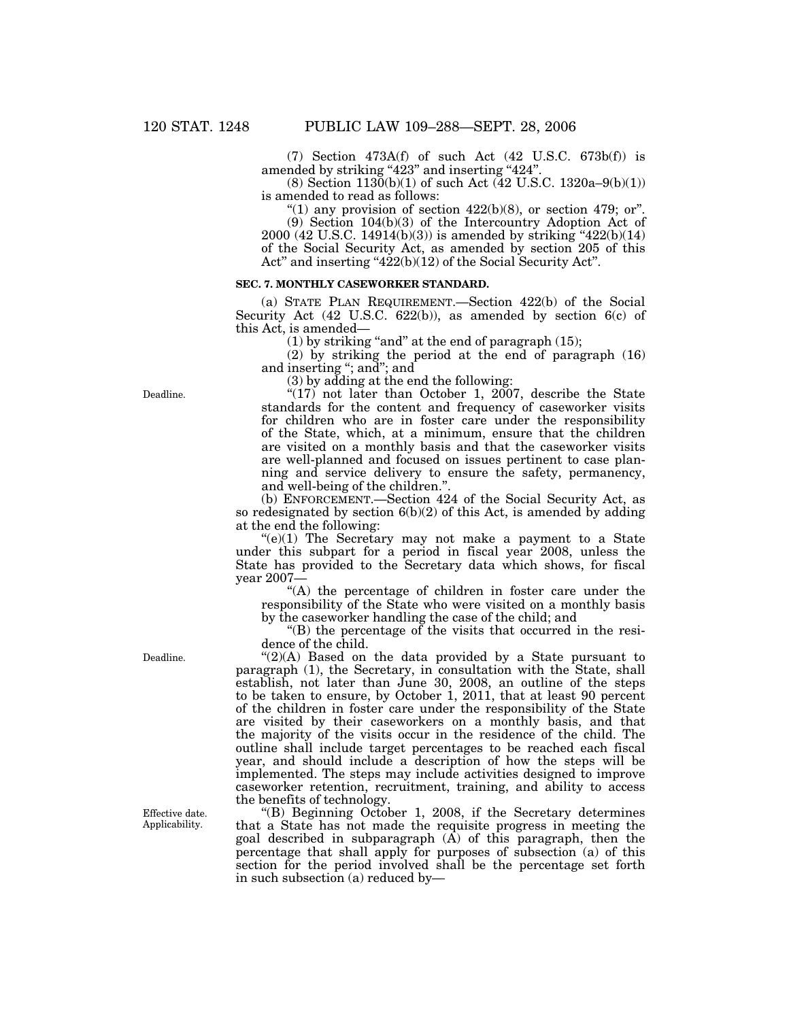(7) Section 473A(f) of such Act (42 U.S.C. 673b(f)) is amended by striking "423" and inserting "424".

(8) Section  $1130(b)(1)$  of such Act (42 U.S.C. 1320a–9(b)(1)) is amended to read as follows:

"(1) any provision of section  $422(b)(8)$ , or section 479; or". (9) Section 104(b)(3) of the Intercountry Adoption Act of 2000 (42 U.S.C. 14914(b)(3)) is amended by striking ''422(b)(14) of the Social Security Act, as amended by section 205 of this Act" and inserting "422(b)(12) of the Social Security Act".

### **SEC. 7. MONTHLY CASEWORKER STANDARD.**

(a) STATE PLAN REQUIREMENT.—Section 422(b) of the Social Security Act (42 U.S.C. 622(b)), as amended by section  $6(c)$  of this Act, is amended—

(1) by striking "and" at the end of paragraph  $(15)$ ;

(2) by striking the period at the end of paragraph (16) and inserting "; and"; and

(3) by adding at the end the following:

" $(17)$  not later than October 1, 2007, describe the State standards for the content and frequency of caseworker visits for children who are in foster care under the responsibility of the State, which, at a minimum, ensure that the children are visited on a monthly basis and that the caseworker visits are well-planned and focused on issues pertinent to case planning and service delivery to ensure the safety, permanency, and well-being of the children.''.

(b) ENFORCEMENT.—Section 424 of the Social Security Act, as so redesignated by section  $6(b)(2)$  of this Act, is amended by adding at the end the following:

 $(e)(1)$  The Secretary may not make a payment to a State under this subpart for a period in fiscal year 2008, unless the State has provided to the Secretary data which shows, for fiscal year 2007—

''(A) the percentage of children in foster care under the responsibility of the State who were visited on a monthly basis by the caseworker handling the case of the child; and

"(B) the percentage of the visits that occurred in the residence of the child.

 $!(2)(A)$  Based on the data provided by a State pursuant to paragraph (1), the Secretary, in consultation with the State, shall establish, not later than June 30, 2008, an outline of the steps to be taken to ensure, by October 1, 2011, that at least 90 percent of the children in foster care under the responsibility of the State are visited by their caseworkers on a monthly basis, and that the majority of the visits occur in the residence of the child. The outline shall include target percentages to be reached each fiscal year, and should include a description of how the steps will be implemented. The steps may include activities designed to improve caseworker retention, recruitment, training, and ability to access the benefits of technology.

''(B) Beginning October 1, 2008, if the Secretary determines that a State has not made the requisite progress in meeting the goal described in subparagraph (A) of this paragraph, then the percentage that shall apply for purposes of subsection (a) of this section for the period involved shall be the percentage set forth in such subsection (a) reduced by—

Deadline.

Deadline.

Effective date. Applicability.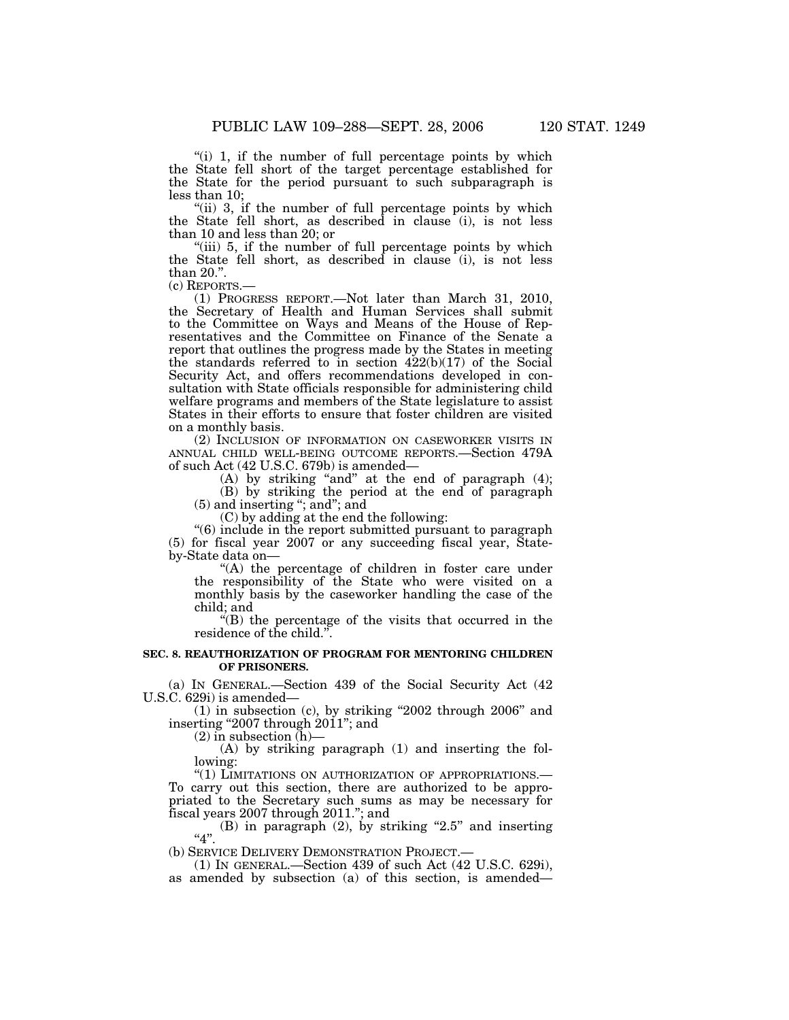"(i) 1, if the number of full percentage points by which the State fell short of the target percentage established for the State for the period pursuant to such subparagraph is less than 10;

"(ii) 3, if the number of full percentage points by which the State fell short, as described in clause (i), is not less than 10 and less than 20; or

"(iii) 5, if the number of full percentage points by which the State fell short, as described in clause (i), is not less than  $20$ .".<br>(c) REPORTS.-

(1) PROGRESS REPORT.—Not later than March 31, 2010, the Secretary of Health and Human Services shall submit to the Committee on Ways and Means of the House of Representatives and the Committee on Finance of the Senate a report that outlines the progress made by the States in meeting the standards referred to in section  $422(b)(17)$  of the Social Security Act, and offers recommendations developed in consultation with State officials responsible for administering child welfare programs and members of the State legislature to assist States in their efforts to ensure that foster children are visited on a monthly basis.

(2) INCLUSION OF INFORMATION ON CASEWORKER VISITS IN ANNUAL CHILD WELL-BEING OUTCOME REPORTS.—Section 479A of such Act (42 U.S.C. 679b) is amended—

(A) by striking "and" at the end of paragraph  $(4)$ ;

(B) by striking the period at the end of paragraph (5) and inserting ''; and''; and

(C) by adding at the end the following:

''(6) include in the report submitted pursuant to paragraph (5) for fiscal year 2007 or any succeeding fiscal year, Stateby-State data on—

"(A) the percentage of children in foster care under the responsibility of the State who were visited on a monthly basis by the caseworker handling the case of the child; and

''(B) the percentage of the visits that occurred in the residence of the child.''.

# **SEC. 8. REAUTHORIZATION OF PROGRAM FOR MENTORING CHILDREN OF PRISONERS.**

(a) IN GENERAL.—Section 439 of the Social Security Act (42 U.S.C. 629i) is amended—

(1) in subsection (c), by striking ''2002 through 2006'' and inserting "2007 through 2011"; and

 $(2)$  in subsection  $(h)$ —

(A) by striking paragraph (1) and inserting the following:

"(1) LIMITATIONS ON AUTHORIZATION OF APPROPRIATIONS.-To carry out this section, there are authorized to be appropriated to the Secretary such sums as may be necessary for fiscal years 2007 through 2011.''; and

 $(B)$  in paragraph  $(2)$ , by striking "2.5" and inserting "4".

(b) SERVICE DELIVERY DEMONSTRATION PROJECT.— (1) IN GENERAL.—Section 439 of such Act (42 U.S.C. 629i), as amended by subsection (a) of this section, is amended—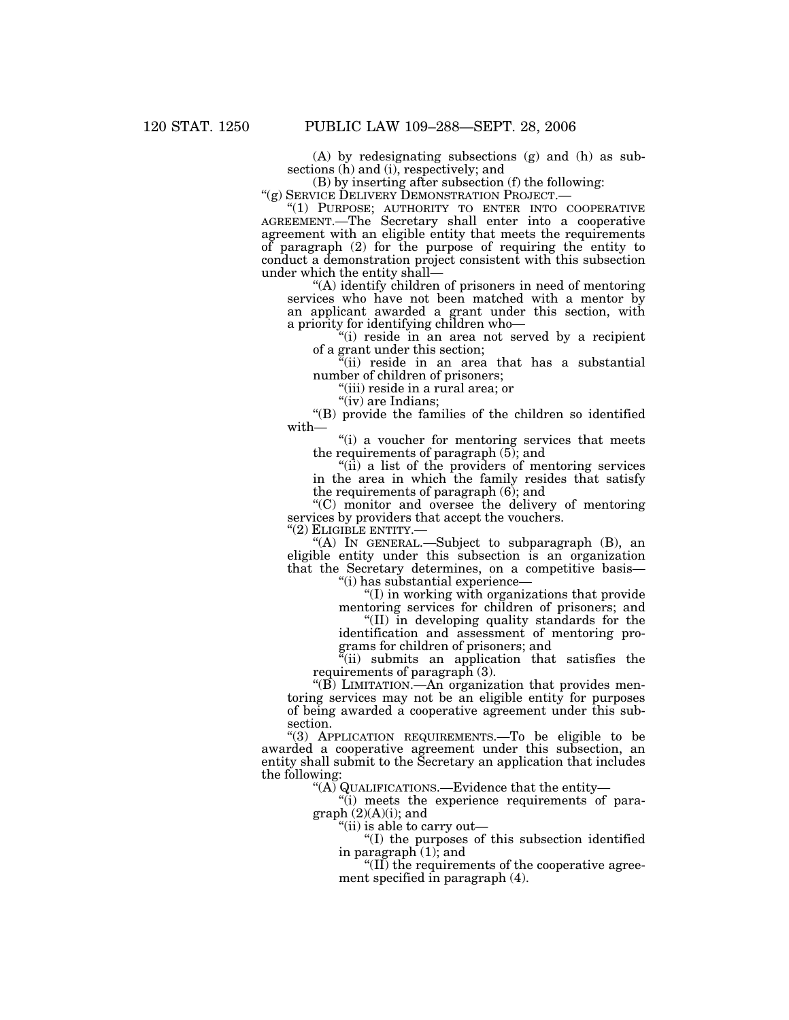(A) by redesignating subsections (g) and (h) as subsections (h) and (i), respectively; and

(B) by inserting after subsection (f) the following: " $(g)$  SERVICE DELIVERY DEMONSTRATION PROJECT.—

''(g) SERVICE DELIVERY DEMONSTRATION PROJECT.— ''(1) PURPOSE; AUTHORITY TO ENTER INTO COOPERATIVE AGREEMENT.—The Secretary shall enter into a cooperative agreement with an eligible entity that meets the requirements of paragraph (2) for the purpose of requiring the entity to conduct a demonstration project consistent with this subsection under which the entity shall—

''(A) identify children of prisoners in need of mentoring services who have not been matched with a mentor by an applicant awarded a grant under this section, with a priority for identifying children who—

''(i) reside in an area not served by a recipient of a grant under this section;

 $(iii)$  reside in an area that has a substantial number of children of prisoners;

''(iii) reside in a rural area; or

"(iv) are Indians:

''(B) provide the families of the children so identified with—

"(i) a voucher for mentoring services that meets" the requirements of paragraph  $(5)$ ; and

"(ii) a list of the providers of mentoring services in the area in which the family resides that satisfy the requirements of paragraph (6); and

''(C) monitor and oversee the delivery of mentoring services by providers that accept the vouchers. ''(2) ELIGIBLE ENTITY.—

"(A) IN GENERAL.—Subject to subparagraph  $(B)$ , an eligible entity under this subsection is an organization that the Secretary determines, on a competitive basis—

''(i) has substantial experience—

''(I) in working with organizations that provide mentoring services for children of prisoners; and

''(II) in developing quality standards for the identification and assessment of mentoring programs for children of prisoners; and

"(ii) submits an application that satisfies the requirements of paragraph (3).

" $(B)$  LIMITATION.—An organization that provides mentoring services may not be an eligible entity for purposes of being awarded a cooperative agreement under this subsection.

''(3) APPLICATION REQUIREMENTS.—To be eligible to be awarded a cooperative agreement under this subsection, an entity shall submit to the Secretary an application that includes the following:

"(A) QUALIFICATIONS.—Evidence that the entity—

''(i) meets the experience requirements of paragraph (2)(A)(i); and

''(ii) is able to carry out—

''(I) the purposes of this subsection identified in paragraph (1); and

" $(II)$  the requirements of the cooperative agreement specified in paragraph (4).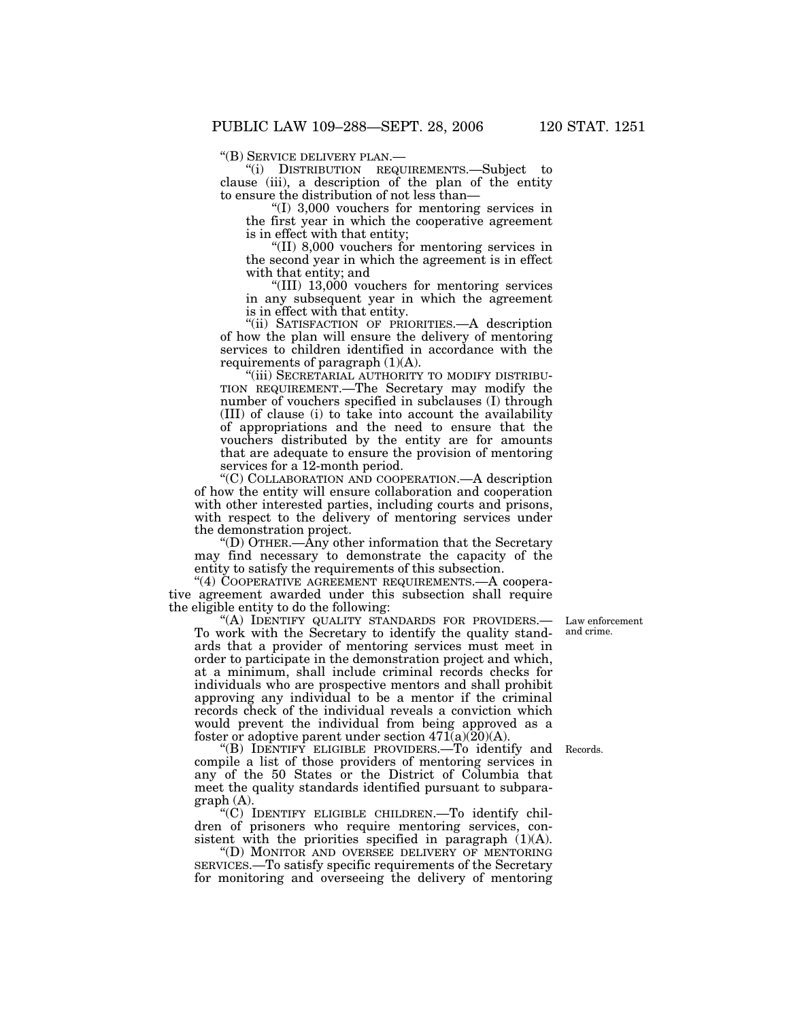''(B) SERVICE DELIVERY PLAN.— ''(i) DISTRIBUTION REQUIREMENTS.—Subject to clause (iii), a description of the plan of the entity to ensure the distribution of not less than—

''(I) 3,000 vouchers for mentoring services in the first year in which the cooperative agreement is in effect with that entity;

''(II) 8,000 vouchers for mentoring services in the second year in which the agreement is in effect with that entity; and

''(III) 13,000 vouchers for mentoring services in any subsequent year in which the agreement is in effect with that entity.

''(ii) SATISFACTION OF PRIORITIES.—A description of how the plan will ensure the delivery of mentoring services to children identified in accordance with the requirements of paragraph  $(1)(A)$ .

"(iii) SECRETARIAL AUTHORITY TO MODIFY DISTRIBU-TION REQUIREMENT.—The Secretary may modify the number of vouchers specified in subclauses (I) through (III) of clause (i) to take into account the availability of appropriations and the need to ensure that the vouchers distributed by the entity are for amounts that are adequate to ensure the provision of mentoring services for a 12-month period.

''(C) COLLABORATION AND COOPERATION.—A description of how the entity will ensure collaboration and cooperation with other interested parties, including courts and prisons, with respect to the delivery of mentoring services under the demonstration project.

''(D) OTHER.—Any other information that the Secretary may find necessary to demonstrate the capacity of the entity to satisfy the requirements of this subsection.

"(4) COOPERATIVE AGREEMENT REQUIREMENTS.—A cooperative agreement awarded under this subsection shall require the eligible entity to do the following:

"(A) IDENTIFY QUALITY STANDARDS FOR PROVIDERS.— To work with the Secretary to identify the quality standards that a provider of mentoring services must meet in order to participate in the demonstration project and which, at a minimum, shall include criminal records checks for individuals who are prospective mentors and shall prohibit approving any individual to be a mentor if the criminal records check of the individual reveals a conviction which would prevent the individual from being approved as a foster or adoptive parent under section  $471(a)(20)(A)$ .

''(B) IDENTIFY ELIGIBLE PROVIDERS.—To identify and Records. compile a list of those providers of mentoring services in any of the 50 States or the District of Columbia that meet the quality standards identified pursuant to subparagraph (A).

''(C) IDENTIFY ELIGIBLE CHILDREN.—To identify children of prisoners who require mentoring services, consistent with the priorities specified in paragraph  $(1)(A)$ .

''(D) MONITOR AND OVERSEE DELIVERY OF MENTORING SERVICES.—To satisfy specific requirements of the Secretary for monitoring and overseeing the delivery of mentoring

Law enforcement and crime.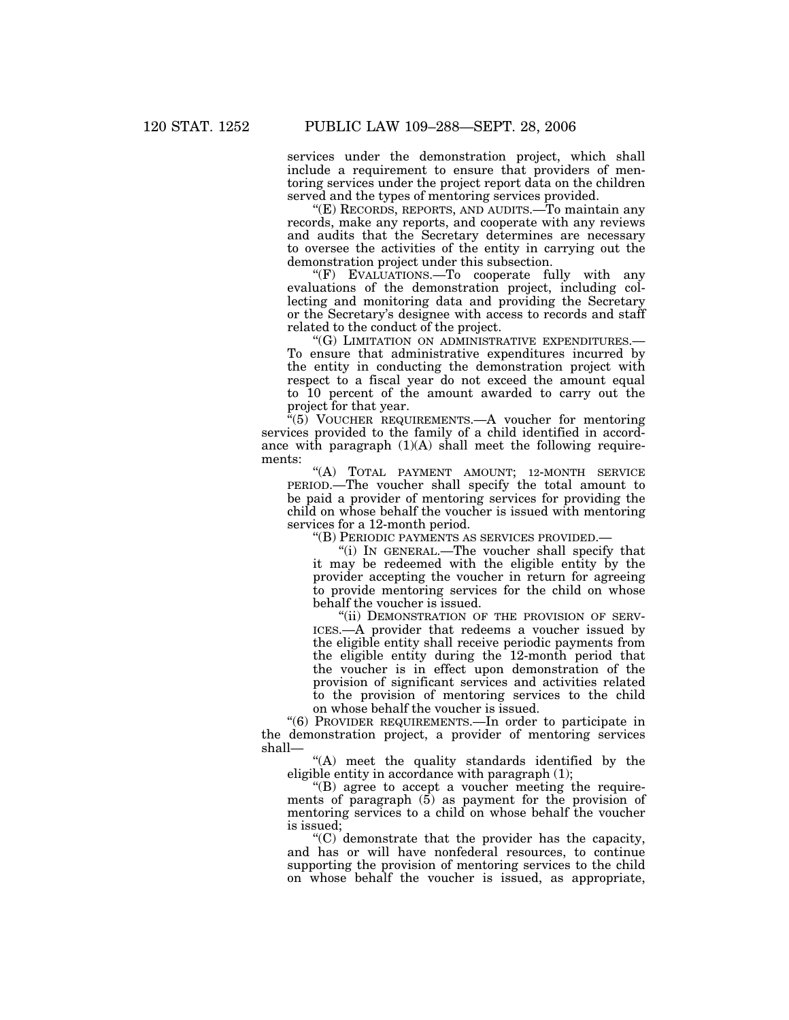services under the demonstration project, which shall include a requirement to ensure that providers of mentoring services under the project report data on the children served and the types of mentoring services provided.

''(E) RECORDS, REPORTS, AND AUDITS.—To maintain any records, make any reports, and cooperate with any reviews and audits that the Secretary determines are necessary to oversee the activities of the entity in carrying out the demonstration project under this subsection.

''(F) EVALUATIONS.—To cooperate fully with any evaluations of the demonstration project, including collecting and monitoring data and providing the Secretary or the Secretary's designee with access to records and staff related to the conduct of the project.

"(G) LIMITATION ON ADMINISTRATIVE EXPENDITURES.-To ensure that administrative expenditures incurred by the entity in conducting the demonstration project with respect to a fiscal year do not exceed the amount equal to 10 percent of the amount awarded to carry out the project for that year.

 $\sqrt[3]{5}$  VOUCHER REQUIREMENTS.—A voucher for mentoring services provided to the family of a child identified in accordance with paragraph  $(1)(A)$  shall meet the following requirements:

"(A) TOTAL PAYMENT AMOUNT; 12-MONTH SERVICE PERIOD.—The voucher shall specify the total amount to be paid a provider of mentoring services for providing the child on whose behalf the voucher is issued with mentoring services for a 12-month period.

''(B) PERIODIC PAYMENTS AS SERVICES PROVIDED.—

''(i) IN GENERAL.—The voucher shall specify that it may be redeemed with the eligible entity by the provider accepting the voucher in return for agreeing to provide mentoring services for the child on whose behalf the voucher is issued.

"(ii) DEMONSTRATION OF THE PROVISION OF SERV-ICES.—A provider that redeems a voucher issued by the eligible entity shall receive periodic payments from the eligible entity during the 12-month period that the voucher is in effect upon demonstration of the provision of significant services and activities related to the provision of mentoring services to the child on whose behalf the voucher is issued.

''(6) PROVIDER REQUIREMENTS.—In order to participate in the demonstration project, a provider of mentoring services shall—

"(A) meet the quality standards identified by the eligible entity in accordance with paragraph (1);

''(B) agree to accept a voucher meeting the requirements of paragraph  $(5)$  as payment for the provision of mentoring services to a child on whose behalf the voucher is issued;

''(C) demonstrate that the provider has the capacity, and has or will have nonfederal resources, to continue supporting the provision of mentoring services to the child on whose behalf the voucher is issued, as appropriate,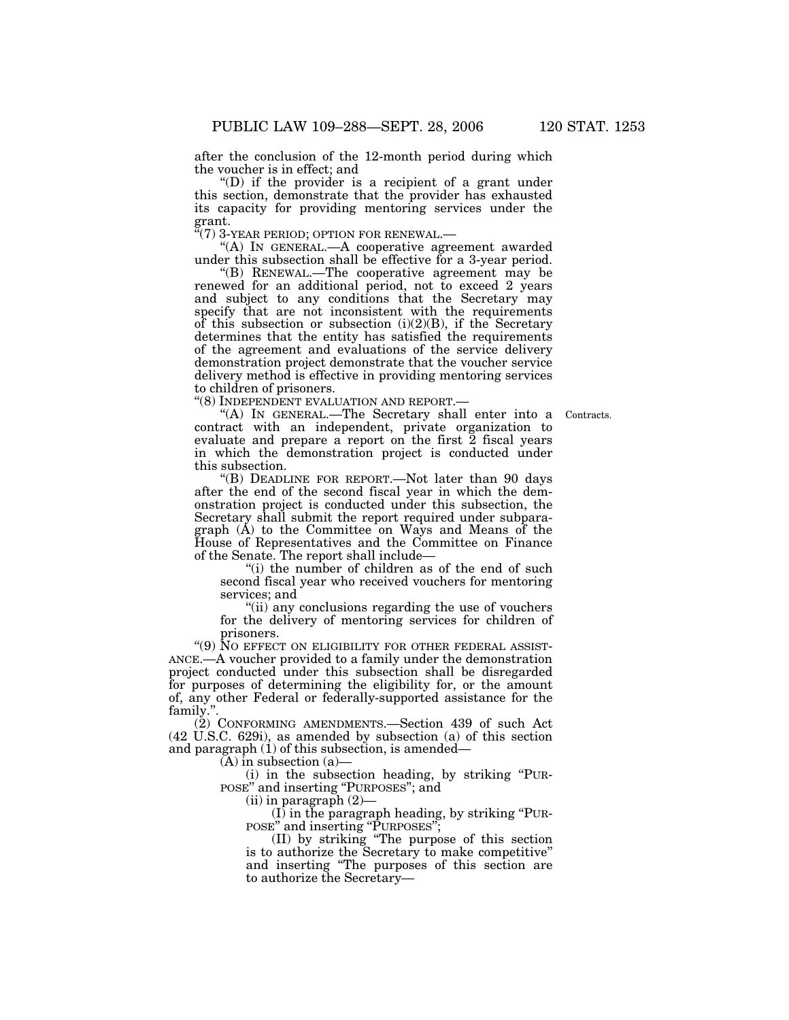after the conclusion of the 12-month period during which the voucher is in effect; and

''(D) if the provider is a recipient of a grant under this section, demonstrate that the provider has exhausted its capacity for providing mentoring services under the grant.<br>"(7) 3-YEAR PERIOD; OPTION FOR RENEWAL.—

"(A) IN GENERAL.—A cooperative agreement awarded under this subsection shall be effective for a 3-year period.

''(B) RENEWAL.—The cooperative agreement may be renewed for an additional period, not to exceed 2 years and subject to any conditions that the Secretary may specify that are not inconsistent with the requirements of this subsection or subsection  $(i)(2)(B)$ , if the Secretary determines that the entity has satisfied the requirements of the agreement and evaluations of the service delivery demonstration project demonstrate that the voucher service delivery method is effective in providing mentoring services to children of prisoners.

''(8) INDEPENDENT EVALUATION AND REPORT.—

**Contracts** 

''(A) IN GENERAL.—The Secretary shall enter into a contract with an independent, private organization to evaluate and prepare a report on the first 2 fiscal years in which the demonstration project is conducted under this subsection.

''(B) DEADLINE FOR REPORT.—Not later than 90 days after the end of the second fiscal year in which the demonstration project is conducted under this subsection, the Secretary shall submit the report required under subparagraph (A) to the Committee on Ways and Means of the House of Representatives and the Committee on Finance of the Senate. The report shall include—

"(i) the number of children as of the end of such second fiscal year who received vouchers for mentoring services; and

''(ii) any conclusions regarding the use of vouchers for the delivery of mentoring services for children of prisoners.

''(9) NO EFFECT ON ELIGIBILITY FOR OTHER FEDERAL ASSIST-ANCE.—A voucher provided to a family under the demonstration project conducted under this subsection shall be disregarded for purposes of determining the eligibility for, or the amount of, any other Federal or federally-supported assistance for the family.''.

(2) CONFORMING AMENDMENTS.—Section 439 of such Act (42 U.S.C. 629i), as amended by subsection (a) of this section and paragraph (1) of this subsection, is amended—

 $(A)$  in subsection  $(a)$ 

(i) in the subsection heading, by striking ''PUR-POSE" and inserting "PURPOSES"; and

(ii) in paragraph (2)—

(I) in the paragraph heading, by striking ''PUR-POSE'' and inserting ''PURPOSES'';

(II) by striking ''The purpose of this section is to authorize the Secretary to make competitive'' and inserting ''The purposes of this section are to authorize the Secretary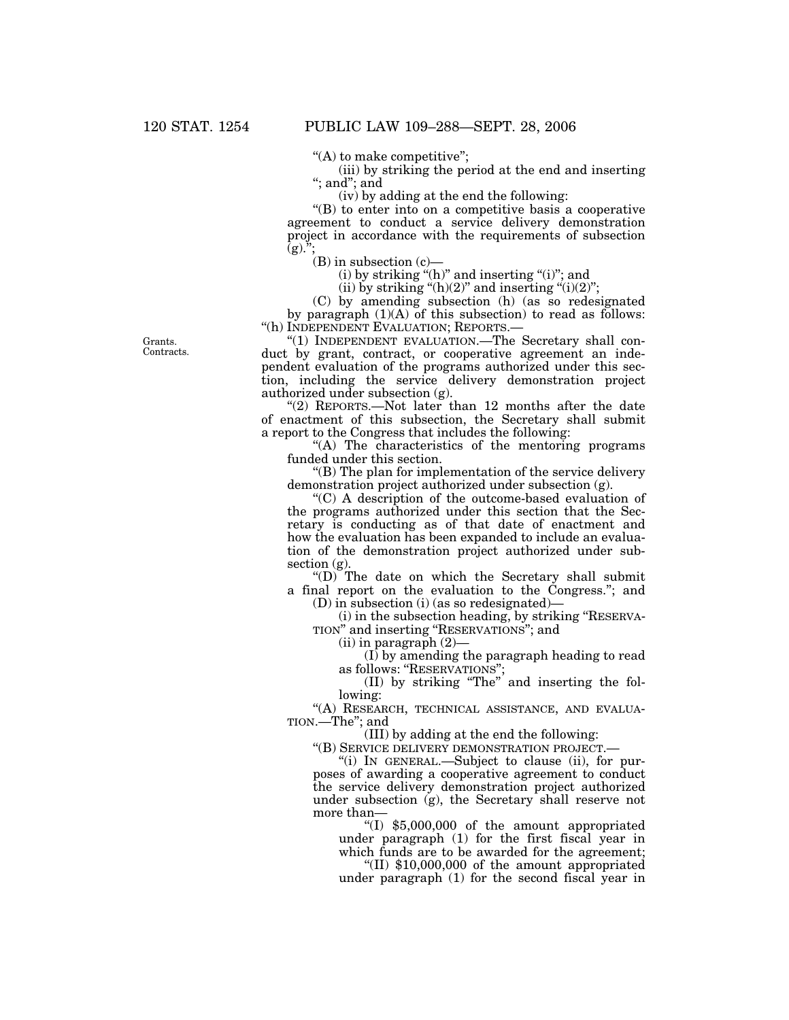''(A) to make competitive'';

(iii) by striking the period at the end and inserting ''; and''; and

(iv) by adding at the end the following:

''(B) to enter into on a competitive basis a cooperative agreement to conduct a service delivery demonstration project in accordance with the requirements of subsection  $\overline{g}$ ).";

 $(B)$  in subsection  $(c)$ —

 $(i)$  by striking " $(h)$ " and inserting " $(i)$ "; and

(ii) by striking " $(h)(2)$ " and inserting " $(i)(2)$ ";

(C) by amending subsection (h) (as so redesignated by paragraph  $(1)(A)$  of this subsection) to read as follows: "(h) INDEPENDENT EVALUATION; REPORTS.-

"(1) INDEPENDENT EVALUATION.—The Secretary shall conduct by grant, contract, or cooperative agreement an independent evaluation of the programs authorized under this section, including the service delivery demonstration project authorized under subsection (g).

"(2) REPORTS.—Not later than 12 months after the date of enactment of this subsection, the Secretary shall submit a report to the Congress that includes the following:

"(A) The characteristics of the mentoring programs funded under this section.

''(B) The plan for implementation of the service delivery demonstration project authorized under subsection (g).

''(C) A description of the outcome-based evaluation of the programs authorized under this section that the Secretary is conducting as of that date of enactment and how the evaluation has been expanded to include an evaluation of the demonstration project authorized under subsection  $(g)$ .

"(D) The date on which the Secretary shall submit a final report on the evaluation to the Congress.''; and

(D) in subsection (i) (as so redesignated)—

(i) in the subsection heading, by striking ''RESERVA-TION'' and inserting ''RESERVATIONS''; and

 $(iii)$  in paragraph  $(2)$ —

(I) by amending the paragraph heading to read as follows: ''RESERVATIONS'';

(II) by striking ''The'' and inserting the following:

"(A) RESEARCH, TECHNICAL ASSISTANCE, AND EVALUA-TION.—The''; and

(III) by adding at the end the following:

''(B) SERVICE DELIVERY DEMONSTRATION PROJECT.—

''(i) IN GENERAL.—Subject to clause (ii), for purposes of awarding a cooperative agreement to conduct the service delivery demonstration project authorized under subsection (g), the Secretary shall reserve not more than—

 $f(1)$  \$5,000,000 of the amount appropriated under paragraph (1) for the first fiscal year in which funds are to be awarded for the agreement;

''(II) \$10,000,000 of the amount appropriated under paragraph (1) for the second fiscal year in

Grants. Contracts.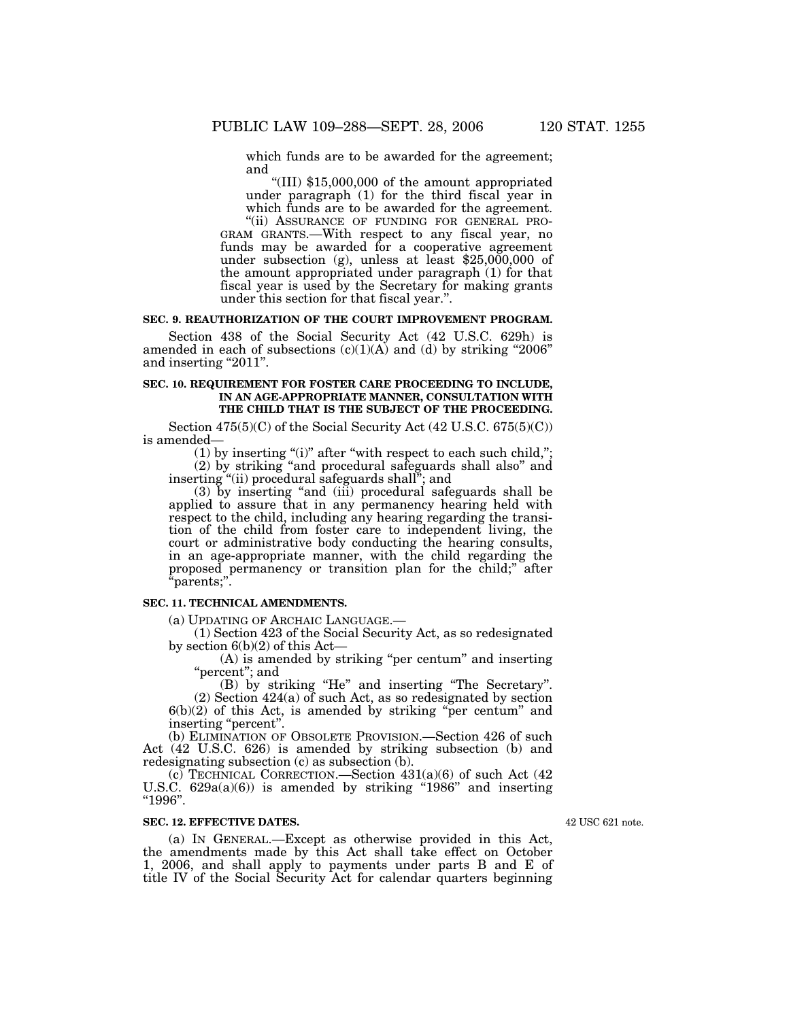which funds are to be awarded for the agreement; and

''(III) \$15,000,000 of the amount appropriated under paragraph (1) for the third fiscal year in which funds are to be awarded for the agreement.<br>"(ii) ASSURANCE OF FUNDING FOR GENERAL PRO-

GRAM GRANTS.—With respect to any fiscal year, no funds may be awarded for a cooperative agreement under subsection (g), unless at least  $$25,000,000$  of the amount appropriated under paragraph (1) for that fiscal year is used by the Secretary for making grants under this section for that fiscal year.''.

# **SEC. 9. REAUTHORIZATION OF THE COURT IMPROVEMENT PROGRAM.**

Section 438 of the Social Security Act (42 U.S.C. 629h) is amended in each of subsections  $(c)(1)(A)$  and  $(d)$  by striking "2006" and inserting "2011".

# **SEC. 10. REQUIREMENT FOR FOSTER CARE PROCEEDING TO INCLUDE, IN AN AGE-APPROPRIATE MANNER, CONSULTATION WITH THE CHILD THAT IS THE SUBJECT OF THE PROCEEDING.**

Section 475(5)(C) of the Social Security Act (42 U.S.C. 675(5)(C)) is amended—

 $(1)$  by inserting "(i)" after "with respect to each such child,";  $(2)$  by striking "and procedural safeguards shall also" and inserting ''(ii) procedural safeguards shall''; and

(3) by inserting ''and (iii) procedural safeguards shall be applied to assure that in any permanency hearing held with respect to the child, including any hearing regarding the transition of the child from foster care to independent living, the court or administrative body conducting the hearing consults, in an age-appropriate manner, with the child regarding the proposed permanency or transition plan for the child;'' after ''parents;''.

# **SEC. 11. TECHNICAL AMENDMENTS.**

(a) UPDATING OF ARCHAIC LANGUAGE.—

(1) Section 423 of the Social Security Act, as so redesignated by section 6(b)(2) of this Act—

(A) is amended by striking ''per centum'' and inserting "percent"; and

(B) by striking ''He'' and inserting ''The Secretary''.

(2) Section 424(a) of such Act, as so redesignated by section  $6(b)(2)$  of this Act, is amended by striking "per centum" and inserting "percent".

(b) ELIMINATION OF OBSOLETE PROVISION.—Section 426 of such Act (42 U.S.C. 626) is amended by striking subsection (b) and redesignating subsection (c) as subsection (b).

(c) TECHNICAL CORRECTION.—Section  $431(a)(6)$  of such Act (42) U.S.C.  $629a(a)(6)$  is amended by striking "1986" and inserting ''1996''.

### **SEC. 12. EFFECTIVE DATES.**

(a) IN GENERAL.—Except as otherwise provided in this Act, the amendments made by this Act shall take effect on October 1, 2006, and shall apply to payments under parts B and E of title IV of the Social Security Act for calendar quarters beginning

42 USC 621 note.